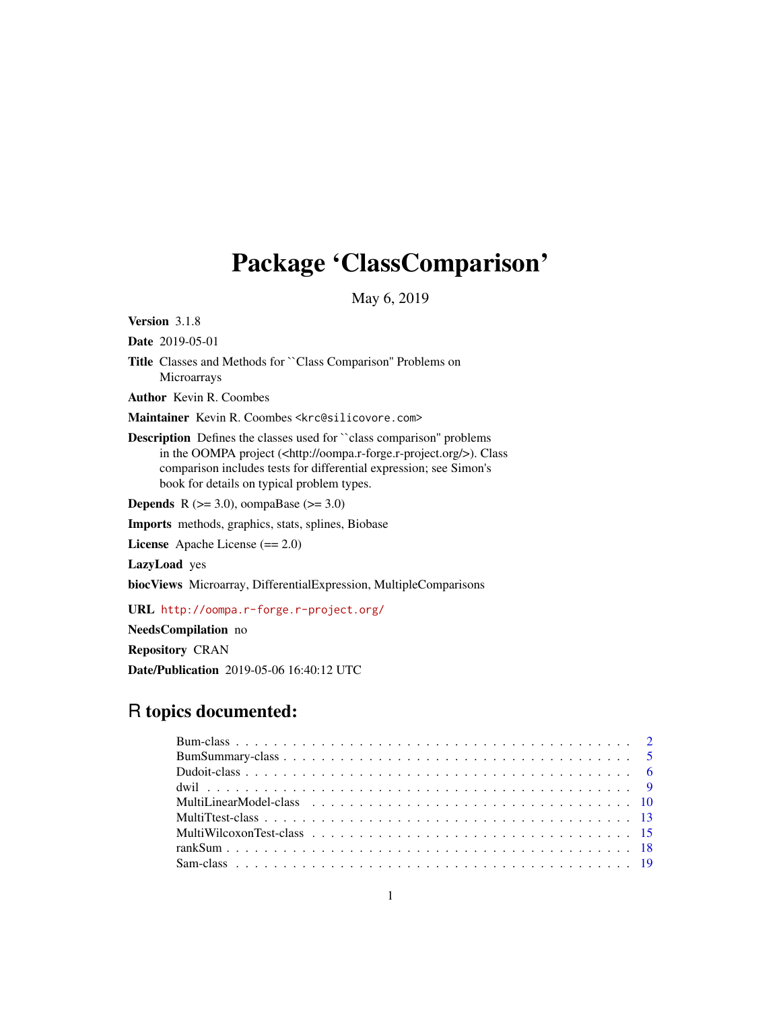# Package 'ClassComparison'

May 6, 2019

<span id="page-0-0"></span>Version 3.1.8

Date 2019-05-01

Title Classes and Methods for ``Class Comparison'' Problems on Microarrays

Author Kevin R. Coombes

Maintainer Kevin R. Coombes <krc@silicovore.com>

Description Defines the classes used for ``class comparison'' problems in the OOMPA project (<http://oompa.r-forge.r-project.org/>). Class comparison includes tests for differential expression; see Simon's book for details on typical problem types.

**Depends** R ( $>= 3.0$ ), oompaBase ( $>= 3.0$ )

Imports methods, graphics, stats, splines, Biobase

License Apache License (== 2.0)

LazyLoad yes

biocViews Microarray, DifferentialExpression, MultipleComparisons

URL <http://oompa.r-forge.r-project.org/>

NeedsCompilation no

Repository CRAN

Date/Publication 2019-05-06 16:40:12 UTC

# R topics documented: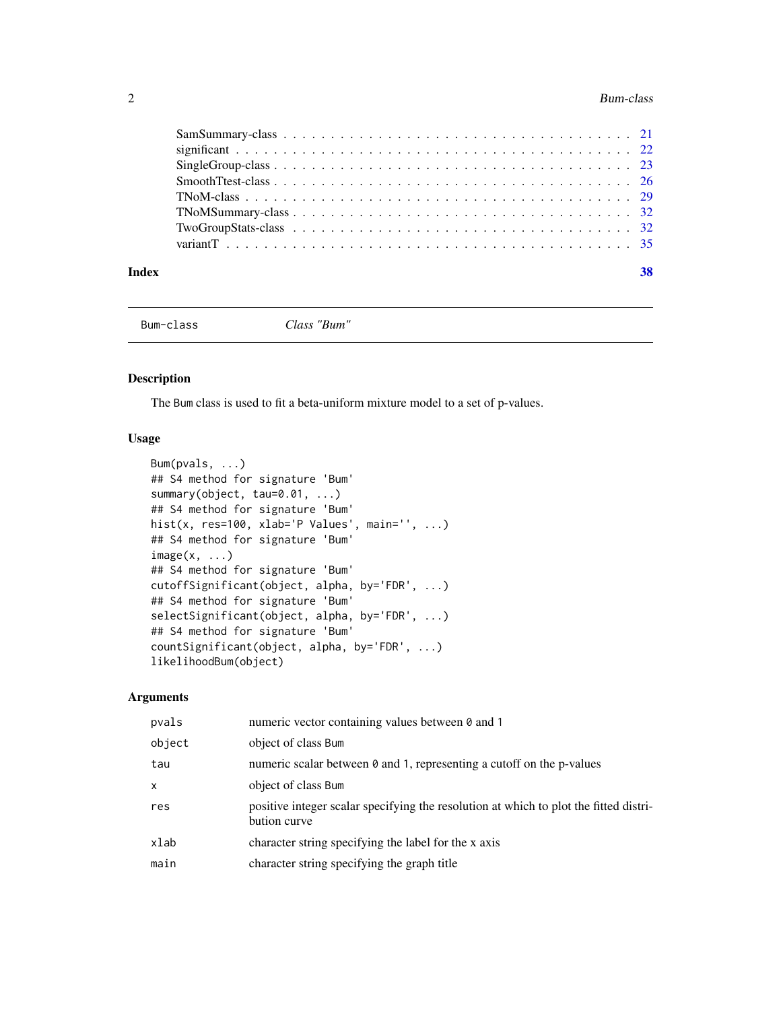<span id="page-1-0"></span>

#### **Index** [38](#page-37-0)

Bum-class *Class "Bum"*

# <span id="page-1-1"></span>Description

The Bum class is used to fit a beta-uniform mixture model to a set of p-values.

# Usage

```
Bum(pvals, ...)
## S4 method for signature 'Bum'
summary(object, tau=0.01, ...)
## S4 method for signature 'Bum'
hist(x, res=100, xlab='P Values', main='', ...)
## S4 method for signature 'Bum'
image(x, \ldots)## S4 method for signature 'Bum'
cutoffSignificant(object, alpha, by='FDR', ...)
## S4 method for signature 'Bum'
selectSignificant(object, alpha, by='FDR', ...)
## S4 method for signature 'Bum'
countSignificant(object, alpha, by='FDR', ...)
likelihoodBum(object)
```

| pvals  | numeric vector containing values between 0 and 1                                                      |
|--------|-------------------------------------------------------------------------------------------------------|
| object | object of class Bum                                                                                   |
| tau    | numeric scalar between 0 and 1, representing a cutoff on the p-values                                 |
| x      | object of class Bum                                                                                   |
| res    | positive integer scalar specifying the resolution at which to plot the fitted distri-<br>bution curve |
| xlab   | character string specifying the label for the x axis                                                  |
| main   | character string specifying the graph title                                                           |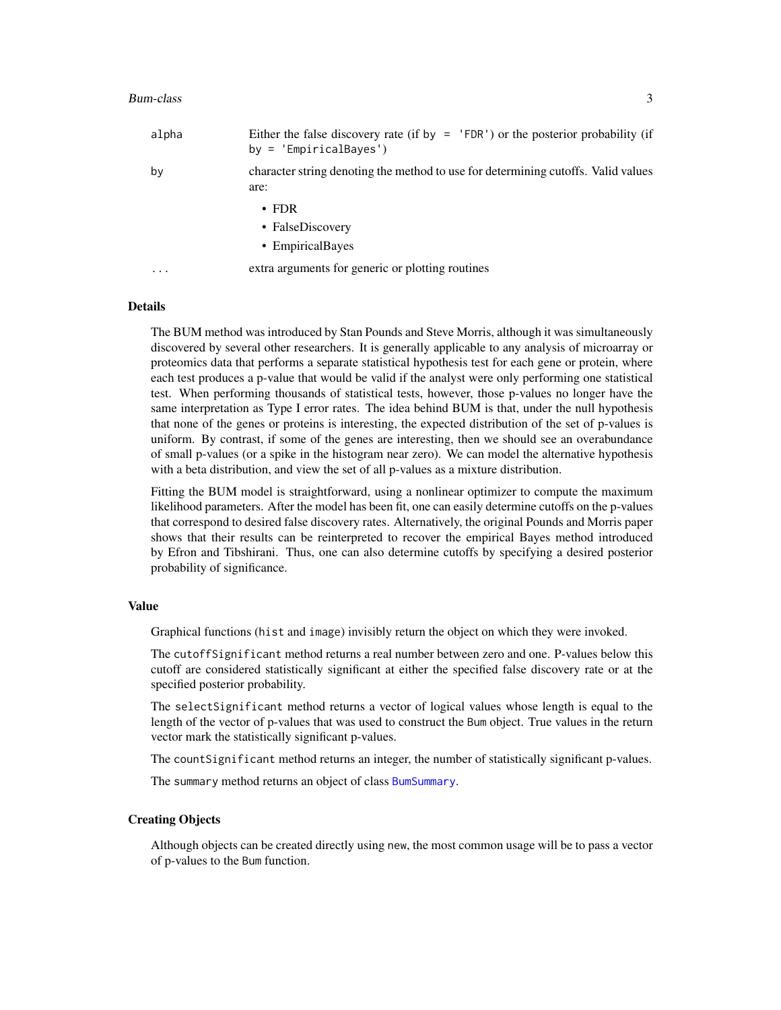#### <span id="page-2-0"></span>Bum-class 3

| alpha    | Either the false discovery rate (if by $=$ 'FDR') or the posterior probability (if<br>$by = 'EmpiricalBayes')$ |
|----------|----------------------------------------------------------------------------------------------------------------|
| by       | character string denoting the method to use for determining cutoffs. Valid values<br>are:                      |
|          | $\cdot$ FDR                                                                                                    |
|          | • FalseDiscovery                                                                                               |
|          | • EmpiricalBayes                                                                                               |
| $\cdots$ | extra arguments for generic or plotting routines                                                               |

# Details

The BUM method was introduced by Stan Pounds and Steve Morris, although it was simultaneously discovered by several other researchers. It is generally applicable to any analysis of microarray or proteomics data that performs a separate statistical hypothesis test for each gene or protein, where each test produces a p-value that would be valid if the analyst were only performing one statistical test. When performing thousands of statistical tests, however, those p-values no longer have the same interpretation as Type I error rates. The idea behind BUM is that, under the null hypothesis that none of the genes or proteins is interesting, the expected distribution of the set of p-values is uniform. By contrast, if some of the genes are interesting, then we should see an overabundance of small p-values (or a spike in the histogram near zero). We can model the alternative hypothesis with a beta distribution, and view the set of all p-values as a mixture distribution.

Fitting the BUM model is straightforward, using a nonlinear optimizer to compute the maximum likelihood parameters. After the model has been fit, one can easily determine cutoffs on the p-values that correspond to desired false discovery rates. Alternatively, the original Pounds and Morris paper shows that their results can be reinterpreted to recover the empirical Bayes method introduced by Efron and Tibshirani. Thus, one can also determine cutoffs by specifying a desired posterior probability of significance.

#### Value

Graphical functions (hist and image) invisibly return the object on which they were invoked.

The cutoffSignificant method returns a real number between zero and one. P-values below this cutoff are considered statistically significant at either the specified false discovery rate or at the specified posterior probability.

The selectSignificant method returns a vector of logical values whose length is equal to the length of the vector of p-values that was used to construct the Bum object. True values in the return vector mark the statistically significant p-values.

The countSignificant method returns an integer, the number of statistically significant p-values.

The summary method returns an object of class [BumSummary](#page-4-1).

# Creating Objects

Although objects can be created directly using new, the most common usage will be to pass a vector of p-values to the Bum function.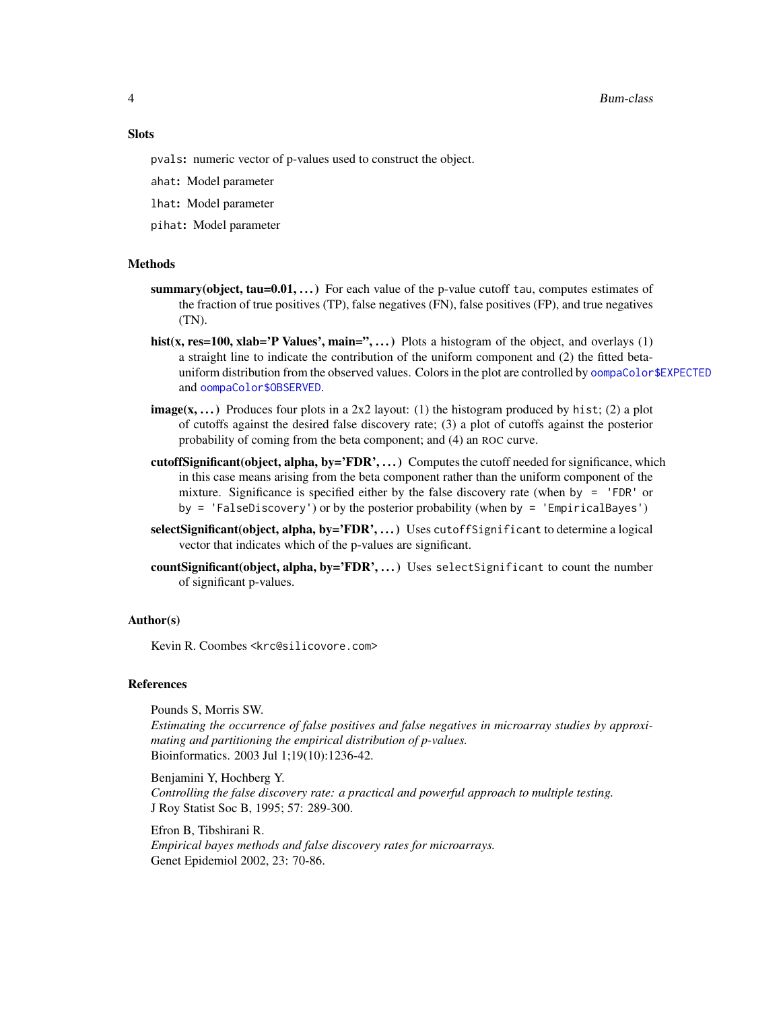#### <span id="page-3-0"></span>4 Bum-class

# **Slots**

pvals: numeric vector of p-values used to construct the object.

ahat: Model parameter

lhat: Model parameter

pihat: Model parameter

#### **Methods**

- summary(object, tau= $0.01, \ldots$ ) For each value of the p-value cutoff tau, computes estimates of the fraction of true positives (TP), false negatives (FN), false positives (FP), and true negatives (TN).
- hist(x, res=100, xlab='P Values', main=",...) Plots a histogram of the object, and overlays  $(1)$ a straight line to indicate the contribution of the uniform component and (2) the fitted betauniform distribution from the observed values. Colors in the plot are controlled by [oompaColor\\$EXPECTED](#page-0-0) and [oompaColor\\$OBSERVED](#page-0-0).
- **image(x,...)** Produces four plots in a 2x2 layout: (1) the histogram produced by hist; (2) a plot of cutoffs against the desired false discovery rate; (3) a plot of cutoffs against the posterior probability of coming from the beta component; and (4) an ROC curve.
- cutoffSignificant(object, alpha, by='FDR', ...) Computes the cutoff needed for significance, which in this case means arising from the beta component rather than the uniform component of the mixture. Significance is specified either by the false discovery rate (when by  $=$  'FDR' or by = 'FalseDiscovery') or by the posterior probability (when by = 'EmpiricalBayes')
- selectSignificant(object, alpha, by='FDR', ...) Uses cutoffSignificant to determine a logical vector that indicates which of the p-values are significant.
- countSignificant(object, alpha, by='FDR', ...) Uses selectSignificant to count the number of significant p-values.

#### Author(s)

Kevin R. Coombes <krc@silicovore.com>

# References

Pounds S, Morris SW.

*Estimating the occurrence of false positives and false negatives in microarray studies by approximating and partitioning the empirical distribution of p-values.* Bioinformatics. 2003 Jul 1;19(10):1236-42.

Benjamini Y, Hochberg Y. *Controlling the false discovery rate: a practical and powerful approach to multiple testing.* J Roy Statist Soc B, 1995; 57: 289-300.

Efron B, Tibshirani R. *Empirical bayes methods and false discovery rates for microarrays.* Genet Epidemiol 2002, 23: 70-86.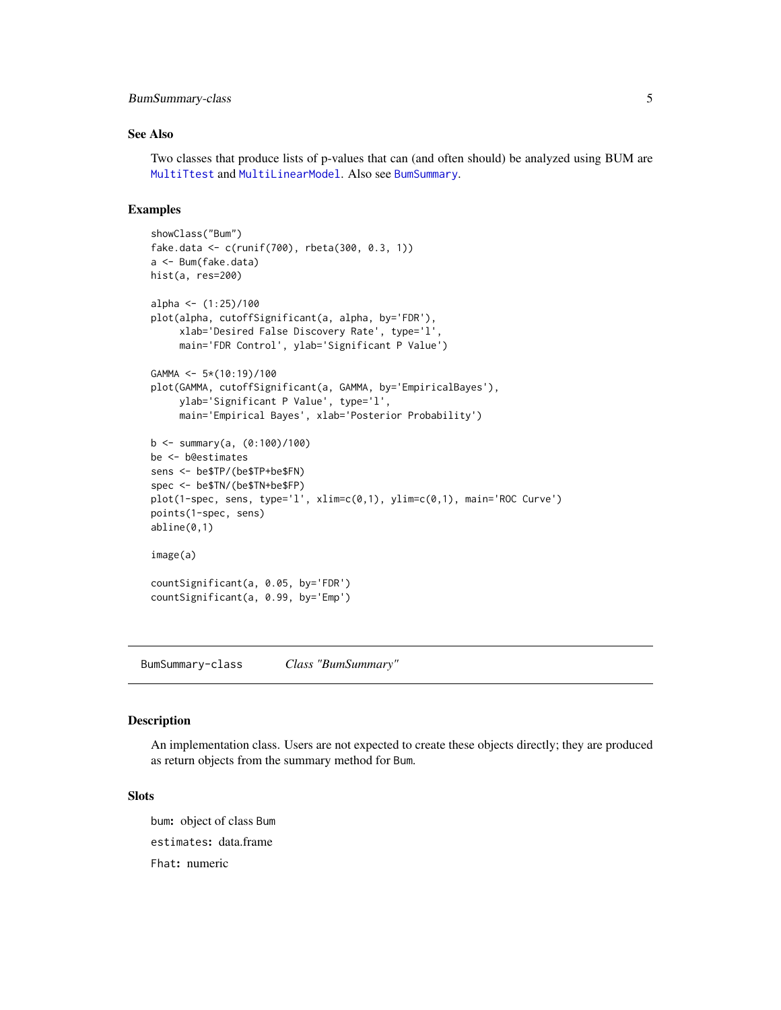# <span id="page-4-0"></span>BumSummary-class 5

# See Also

Two classes that produce lists of p-values that can (and often should) be analyzed using BUM are [MultiTtest](#page-12-1) and [MultiLinearModel](#page-9-1). Also see [BumSummary](#page-4-1).

# Examples

```
showClass("Bum")
fake.data <- c(runif(700), rbeta(300, 0.3, 1))
a <- Bum(fake.data)
hist(a, res=200)
alpha \leq - (1:25)/100
plot(alpha, cutoffSignificant(a, alpha, by='FDR'),
     xlab='Desired False Discovery Rate', type='l',
     main='FDR Control', ylab='Significant P Value')
GAMMA <- 5*(10:19)/100
plot(GAMMA, cutoffSignificant(a, GAMMA, by='EmpiricalBayes'),
     ylab='Significant P Value', type='l',
     main='Empirical Bayes', xlab='Posterior Probability')
b <- summary(a, (0:100)/100)
be <- b@estimates
sens <- be$TP/(be$TP+be$FN)
spec <- be$TN/(be$TN+be$FP)
plot(1-spec, sens, type='l', xlim=c(0,1), ylim=c(0,1), main='ROC Curve')
points(1-spec, sens)
abline(0,1)
image(a)
countSignificant(a, 0.05, by='FDR')
countSignificant(a, 0.99, by='Emp')
```
BumSummary-class *Class "BumSummary"*

#### <span id="page-4-1"></span>Description

An implementation class. Users are not expected to create these objects directly; they are produced as return objects from the summary method for Bum.

#### Slots

bum: object of class Bum estimates: data.frame Fhat: numeric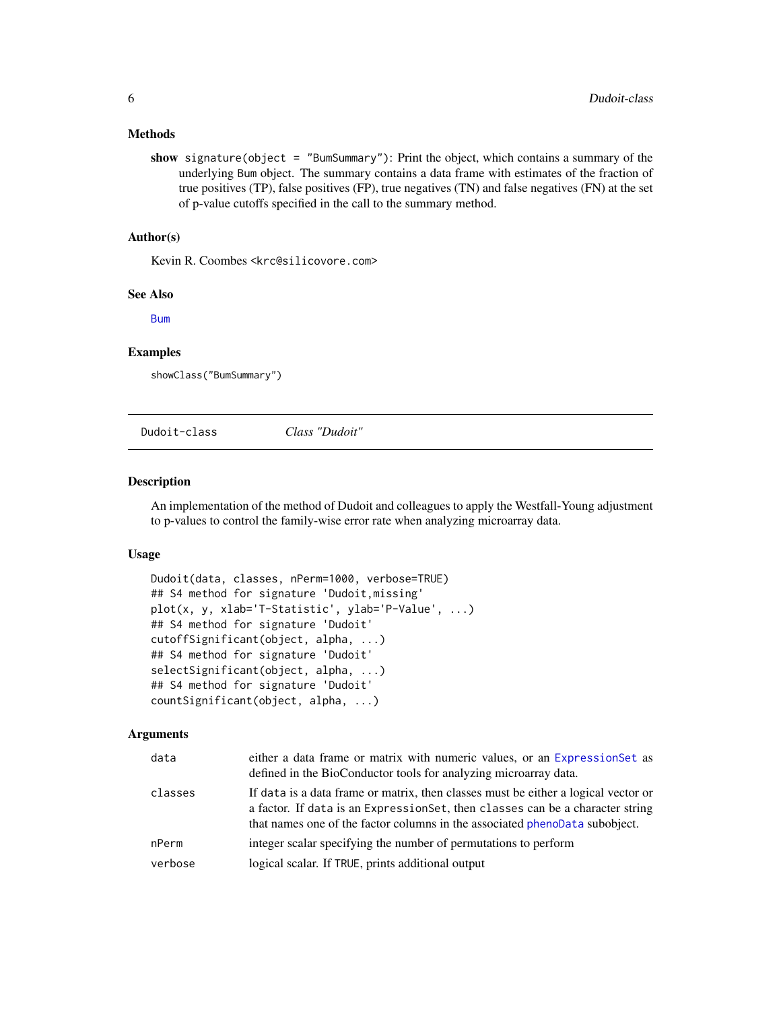## <span id="page-5-0"></span>Methods

show signature(object = "BumSummary"): Print the object, which contains a summary of the underlying Bum object. The summary contains a data frame with estimates of the fraction of true positives (TP), false positives (FP), true negatives (TN) and false negatives (FN) at the set of p-value cutoffs specified in the call to the summary method.

# Author(s)

Kevin R. Coombes <krc@silicovore.com>

# See Also

[Bum](#page-1-1)

#### Examples

showClass("BumSummary")

Dudoit-class *Class "Dudoit"*

# <span id="page-5-1"></span>Description

An implementation of the method of Dudoit and colleagues to apply the Westfall-Young adjustment to p-values to control the family-wise error rate when analyzing microarray data.

#### Usage

```
Dudoit(data, classes, nPerm=1000, verbose=TRUE)
## S4 method for signature 'Dudoit,missing'
plot(x, y, xlab='T-Statistic', ylab='P-Value', ...)
## S4 method for signature 'Dudoit'
cutoffSignificant(object, alpha, ...)
## S4 method for signature 'Dudoit'
selectSignificant(object, alpha, ...)
## S4 method for signature 'Dudoit'
countSignificant(object, alpha, ...)
```

| data    | either a data frame or matrix with numeric values, or an ExpressionSet as<br>defined in the BioConductor tools for analyzing microarray data.                                                                                                       |
|---------|-----------------------------------------------------------------------------------------------------------------------------------------------------------------------------------------------------------------------------------------------------|
| classes | If data is a data frame or matrix, then classes must be either a logical vector or<br>a factor. If data is an Expression Set, then classes can be a character string<br>that names one of the factor columns in the associated phenoData subobject. |
| nPerm   | integer scalar specifying the number of permutations to perform                                                                                                                                                                                     |
| verbose | logical scalar. If TRUE, prints additional output                                                                                                                                                                                                   |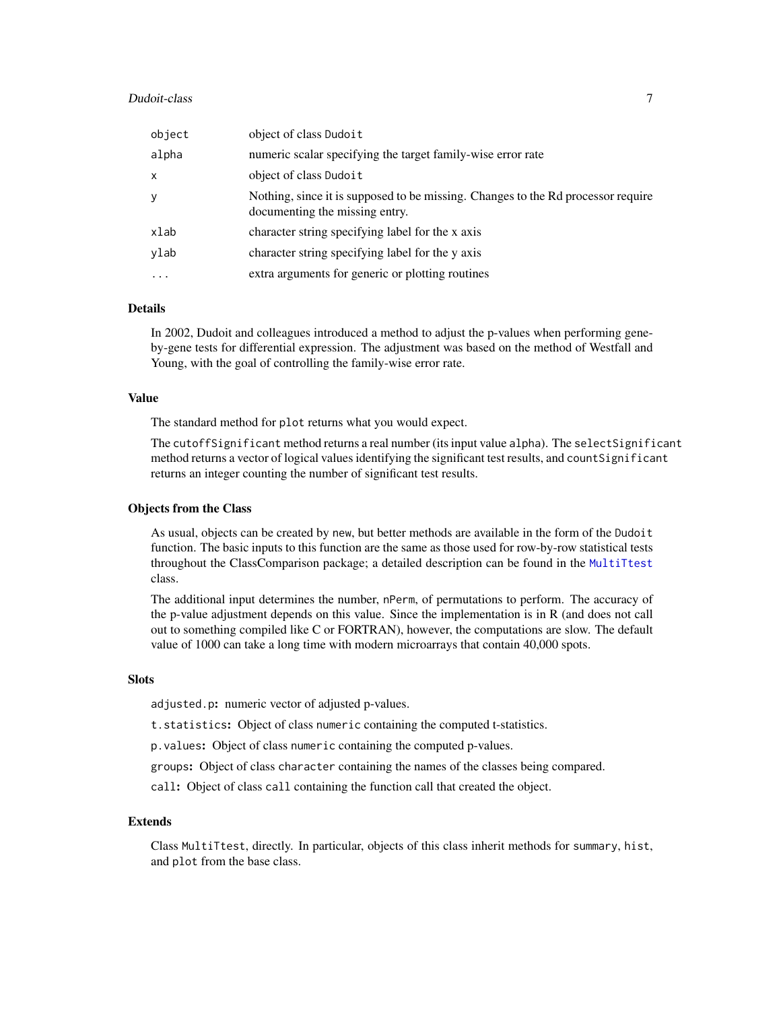#### <span id="page-6-0"></span>Dudoit-class 7

| object                  | object of class Dudoit                                                                                             |
|-------------------------|--------------------------------------------------------------------------------------------------------------------|
| alpha                   | numeric scalar specifying the target family-wise error rate                                                        |
| X                       | object of class Dudoit                                                                                             |
| У                       | Nothing, since it is supposed to be missing. Changes to the Rd processor require<br>documenting the missing entry. |
| xlab                    | character string specifying label for the x axis                                                                   |
| ylab                    | character string specifying label for the y axis                                                                   |
| $\cdot$ $\cdot$ $\cdot$ | extra arguments for generic or plotting routines                                                                   |

# Details

In 2002, Dudoit and colleagues introduced a method to adjust the p-values when performing geneby-gene tests for differential expression. The adjustment was based on the method of Westfall and Young, with the goal of controlling the family-wise error rate.

# Value

The standard method for plot returns what you would expect.

The cutoffSignificant method returns a real number (its input value alpha). The selectSignificant method returns a vector of logical values identifying the significant test results, and countSignificant returns an integer counting the number of significant test results.

#### Objects from the Class

As usual, objects can be created by new, but better methods are available in the form of the Dudoit function. The basic inputs to this function are the same as those used for row-by-row statistical tests throughout the ClassComparison package; a detailed description can be found in the [MultiTtest](#page-12-1) class.

The additional input determines the number, nPerm, of permutations to perform. The accuracy of the p-value adjustment depends on this value. Since the implementation is in R (and does not call out to something compiled like C or FORTRAN), however, the computations are slow. The default value of 1000 can take a long time with modern microarrays that contain 40,000 spots.

# **Slots**

adjusted.p: numeric vector of adjusted p-values.

t.statistics: Object of class numeric containing the computed t-statistics.

p.values: Object of class numeric containing the computed p-values.

groups: Object of class character containing the names of the classes being compared.

call: Object of class call containing the function call that created the object.

# Extends

Class MultiTtest, directly. In particular, objects of this class inherit methods for summary, hist, and plot from the base class.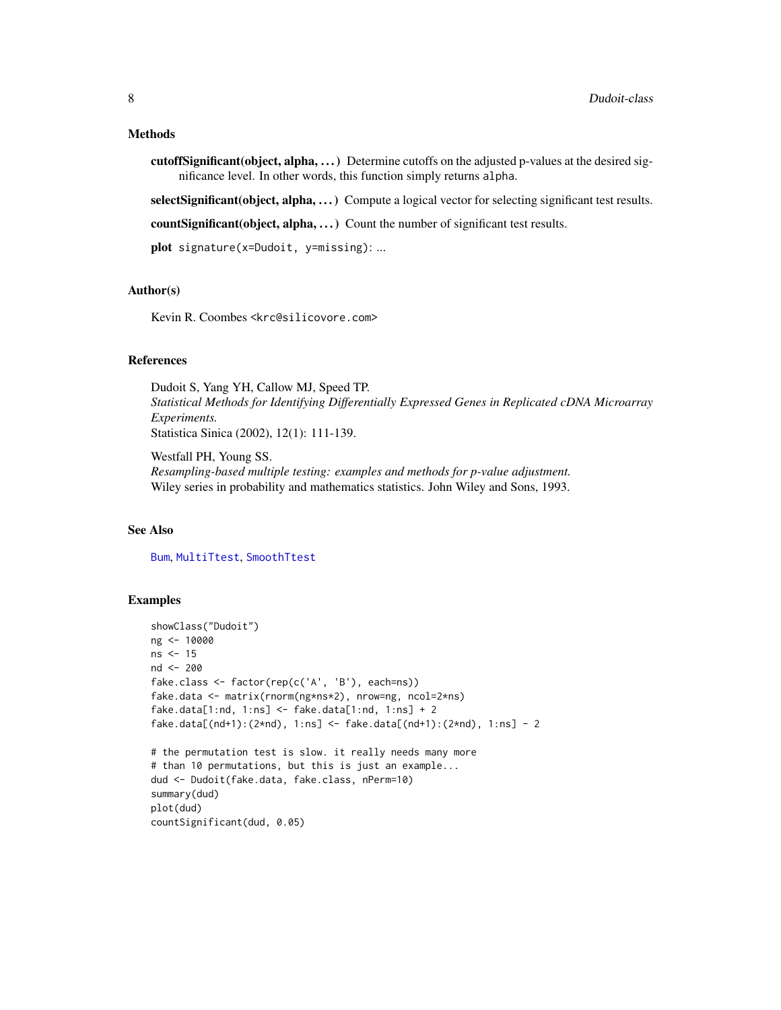#### <span id="page-7-0"></span>Methods

cutoffSignificant(object, alpha, . . . ) Determine cutoffs on the adjusted p-values at the desired significance level. In other words, this function simply returns alpha.

selectSignificant(object, alpha, ...) Compute a logical vector for selecting significant test results.

countSignificant(object, alpha, ...) Count the number of significant test results.

plot signature(x=Dudoit, y=missing): ...

# Author(s)

Kevin R. Coombes <krc@silicovore.com>

#### References

Dudoit S, Yang YH, Callow MJ, Speed TP. *Statistical Methods for Identifying Differentially Expressed Genes in Replicated cDNA Microarray Experiments.* Statistica Sinica (2002), 12(1): 111-139.

Westfall PH, Young SS. *Resampling-based multiple testing: examples and methods for p-value adjustment.* Wiley series in probability and mathematics statistics. John Wiley and Sons, 1993.

# See Also

[Bum](#page-1-1), [MultiTtest](#page-12-1), [SmoothTtest](#page-25-1)

# Examples

```
showClass("Dudoit")
ng <- 10000
ns <- 15
nd <- 200
fake.class <- factor(rep(c('A', 'B'), each=ns))
fake.data <- matrix(rnorm(ng*ns*2), nrow=ng, ncol=2*ns)
fake.data[1:nd, 1:ns] \le fake.data[1:nd, 1:ns] + 2
fake.data[(nd+1):(2*nd), 1:ns] <- fake.data[(nd+1):(2*nd), 1:ns] - 2
# the permutation test is slow. it really needs many more
# than 10 permutations, but this is just an example...
dud <- Dudoit(fake.data, fake.class, nPerm=10)
summary(dud)
plot(dud)
countSignificant(dud, 0.05)
```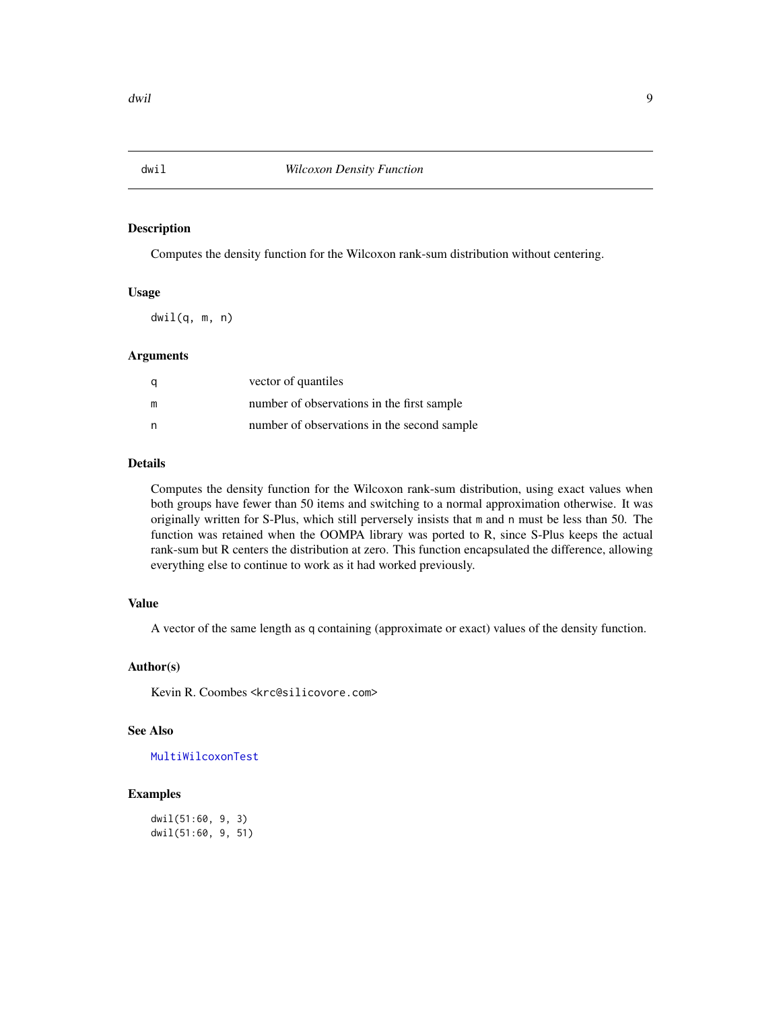<span id="page-8-1"></span><span id="page-8-0"></span>

# Description

Computes the density function for the Wilcoxon rank-sum distribution without centering.

# Usage

 $dwil(q, m, n)$ 

# Arguments

| a | vector of quantiles                         |
|---|---------------------------------------------|
| m | number of observations in the first sample  |
| n | number of observations in the second sample |

# Details

Computes the density function for the Wilcoxon rank-sum distribution, using exact values when both groups have fewer than 50 items and switching to a normal approximation otherwise. It was originally written for S-Plus, which still perversely insists that m and n must be less than 50. The function was retained when the OOMPA library was ported to R, since S-Plus keeps the actual rank-sum but R centers the distribution at zero. This function encapsulated the difference, allowing everything else to continue to work as it had worked previously.

# Value

A vector of the same length as q containing (approximate or exact) values of the density function.

# Author(s)

Kevin R. Coombes <krc@silicovore.com>

# See Also

[MultiWilcoxonTest](#page-14-1)

# Examples

dwil(51:60, 9, 3) dwil(51:60, 9, 51)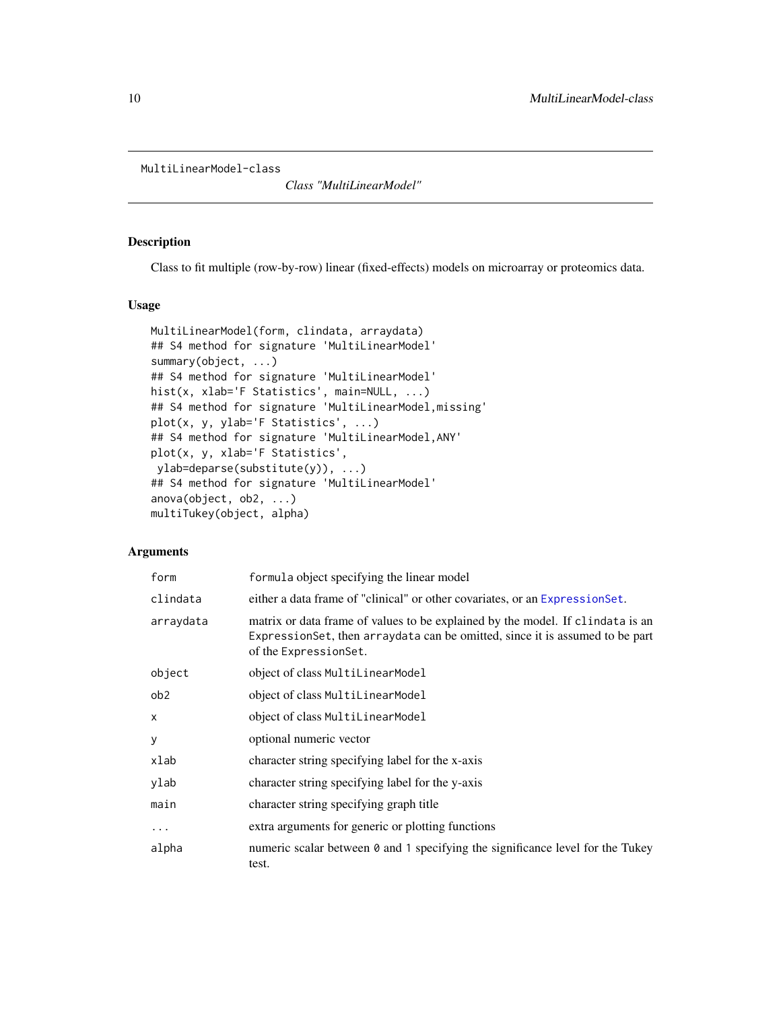```
MultiLinearModel-class
```
*Class "MultiLinearModel"*

# <span id="page-9-1"></span>Description

Class to fit multiple (row-by-row) linear (fixed-effects) models on microarray or proteomics data.

#### Usage

```
MultiLinearModel(form, clindata, arraydata)
## S4 method for signature 'MultiLinearModel'
summary(object, ...)
## S4 method for signature 'MultiLinearModel'
hist(x, xlab='F Statistics', main=NULL, ...)
## S4 method for signature 'MultiLinearModel,missing'
plot(x, y, ylab='F Statistics', ...)
## S4 method for signature 'MultiLinearModel,ANY'
plot(x, y, xlab='F Statistics',
ylab=deparse(substitute(y)), ...)
## S4 method for signature 'MultiLinearModel'
anova(object, ob2, ...)
multiTukey(object, alpha)
```

| form            | formula object specifying the linear model                                                                                                                                              |  |
|-----------------|-----------------------------------------------------------------------------------------------------------------------------------------------------------------------------------------|--|
| clindata        | either a data frame of "clinical" or other covariates, or an Expression Set.                                                                                                            |  |
| arraydata       | matrix or data frame of values to be explained by the model. If clindata is an<br>ExpressionSet, then arraydata can be omitted, since it is assumed to be part<br>of the ExpressionSet. |  |
| object          | object of class MultiLinearModel                                                                                                                                                        |  |
| ob <sub>2</sub> | object of class MultiLinearModel                                                                                                                                                        |  |
| $\mathsf{x}$    | object of class MultiLinearModel                                                                                                                                                        |  |
| y               | optional numeric vector                                                                                                                                                                 |  |
| xlab            | character string specifying label for the x-axis                                                                                                                                        |  |
| ylab            | character string specifying label for the y-axis                                                                                                                                        |  |
| main            | character string specifying graph title                                                                                                                                                 |  |
| $\ddotsc$       | extra arguments for generic or plotting functions                                                                                                                                       |  |
| alpha           | numeric scalar between $\theta$ and 1 specifying the significance level for the Tukey<br>test.                                                                                          |  |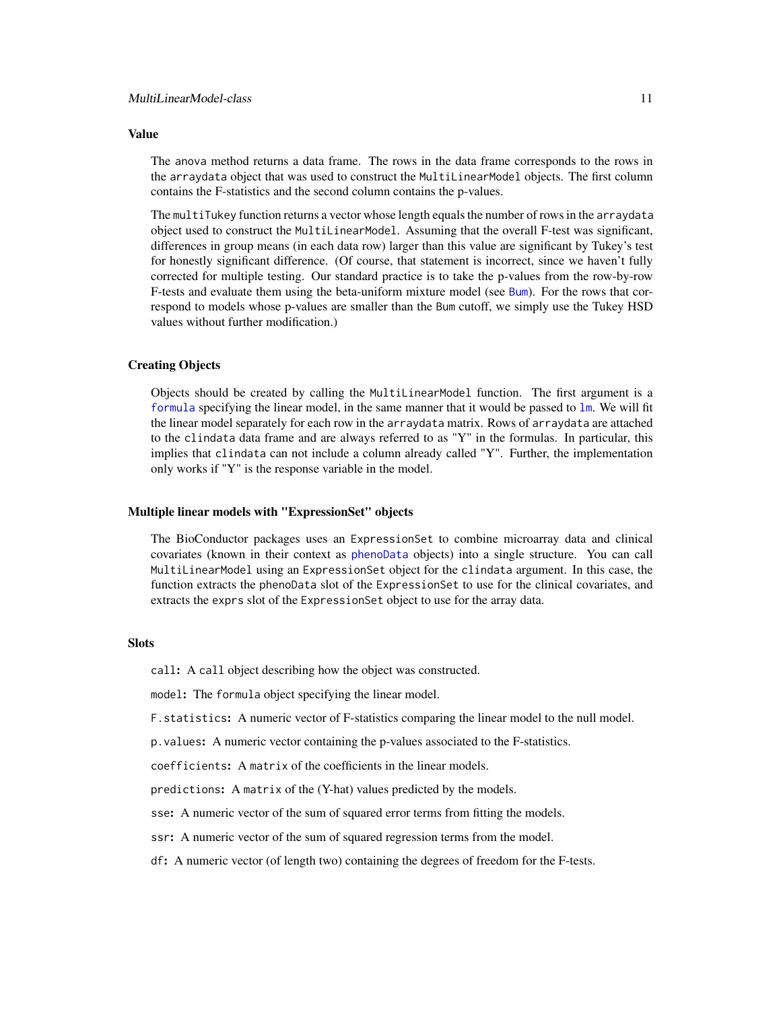# <span id="page-10-0"></span>Value

The anova method returns a data frame. The rows in the data frame corresponds to the rows in the arraydata object that was used to construct the MultiLinearModel objects. The first column contains the F-statistics and the second column contains the p-values.

The multiTukey function returns a vector whose length equals the number of rows in the arraydata object used to construct the MultiLinearModel. Assuming that the overall F-test was significant, differences in group means (in each data row) larger than this value are significant by Tukey's test for honestly significant difference. (Of course, that statement is incorrect, since we haven't fully corrected for multiple testing. Our standard practice is to take the p-values from the row-by-row F-tests and evaluate them using the beta-uniform mixture model (see [Bum](#page-1-1)). For the rows that correspond to models whose p-values are smaller than the Bum cutoff, we simply use the Tukey HSD values without further modification.)

# Creating Objects

Objects should be created by calling the MultiLinearModel function. The first argument is a [formula](#page-0-0) specifying the linear model, in the same manner that it would be passed to [lm](#page-0-0). We will fit the linear model separately for each row in the arraydata matrix. Rows of arraydata are attached to the clindata data frame and are always referred to as "Y" in the formulas. In particular, this implies that clindata can not include a column already called "Y". Further, the implementation only works if "Y" is the response variable in the model.

#### Multiple linear models with "ExpressionSet" objects

The BioConductor packages uses an ExpressionSet to combine microarray data and clinical covariates (known in their context as [phenoData](#page-0-0) objects) into a single structure. You can call MultiLinearModel using an ExpressionSet object for the clindata argument. In this case, the function extracts the phenoData slot of the ExpressionSet to use for the clinical covariates, and extracts the exprs slot of the ExpressionSet object to use for the array data.

#### **Slots**

call: A call object describing how the object was constructed.

model: The formula object specifying the linear model.

F.statistics: A numeric vector of F-statistics comparing the linear model to the null model.

p.values: A numeric vector containing the p-values associated to the F-statistics.

coefficients: A matrix of the coefficients in the linear models.

predictions: A matrix of the (Y-hat) values predicted by the models.

sse: A numeric vector of the sum of squared error terms from fitting the models.

ssr: A numeric vector of the sum of squared regression terms from the model.

df: A numeric vector (of length two) containing the degrees of freedom for the F-tests.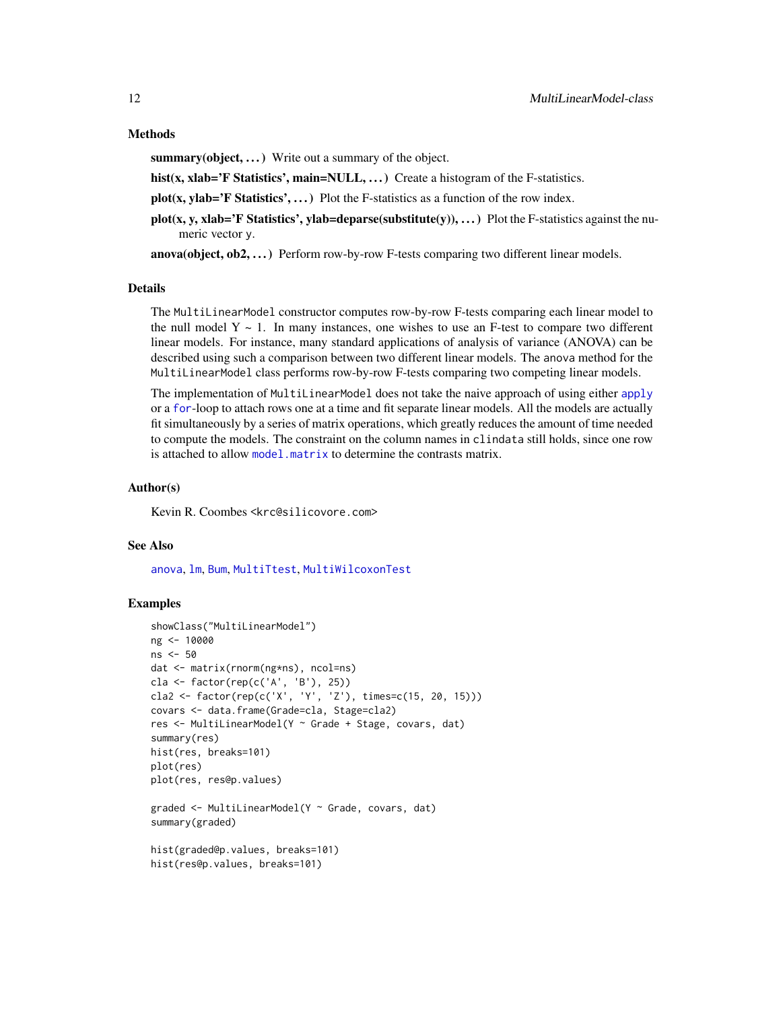#### <span id="page-11-0"></span>Methods

summary(object, ...) Write out a summary of the object.

hist(x, xlab='F Statistics', main=NULL, ...) Create a histogram of the F-statistics.

 $plot(x, ylab='F Statistics', ...)$  Plot the F-statistics as a function of the row index.

 $plot(x, y, x]$  and  $\overline{F}$  Statistics', ylab=deparse(substitute(y)), ...) Plot the F-statistics against the numeric vector y.

 $anova(object, ob2, ...)$  Perform row-by-row F-tests comparing two different linear models.

#### Details

The MultiLinearModel constructor computes row-by-row F-tests comparing each linear model to the null model  $Y \sim 1$ . In many instances, one wishes to use an F-test to compare two different linear models. For instance, many standard applications of analysis of variance (ANOVA) can be described using such a comparison between two different linear models. The anova method for the MultiLinearModel class performs row-by-row F-tests comparing two competing linear models.

The implementation of MultiLinearModel does not take the naive approach of using either [apply](#page-0-0) or a [for](#page-0-0)-loop to attach rows one at a time and fit separate linear models. All the models are actually fit simultaneously by a series of matrix operations, which greatly reduces the amount of time needed to compute the models. The constraint on the column names in clindata still holds, since one row is attached to allow [model.matrix](#page-0-0) to determine the contrasts matrix.

# Author(s)

Kevin R. Coombes <krc@silicovore.com>

# See Also

[anova](#page-0-0), [lm](#page-0-0), [Bum](#page-1-1), [MultiTtest](#page-12-1), [MultiWilcoxonTest](#page-14-1)

# Examples

```
showClass("MultiLinearModel")
ng <- 10000
ns <- 50
dat <- matrix(rnorm(ng*ns), ncol=ns)
cla <- factor(rep(c('A', 'B'), 25))
cla2 <- factor(rep(c('X', 'Y', 'Z'), times=c(15, 20, 15)))
covars <- data.frame(Grade=cla, Stage=cla2)
res <- MultiLinearModel(Y ~ Grade + Stage, covars, dat)
summary(res)
hist(res, breaks=101)
plot(res)
plot(res, res@p.values)
graded <- MultiLinearModel(Y ~ Grade, covars, dat)
summary(graded)
hist(graded@p.values, breaks=101)
hist(res@p.values, breaks=101)
```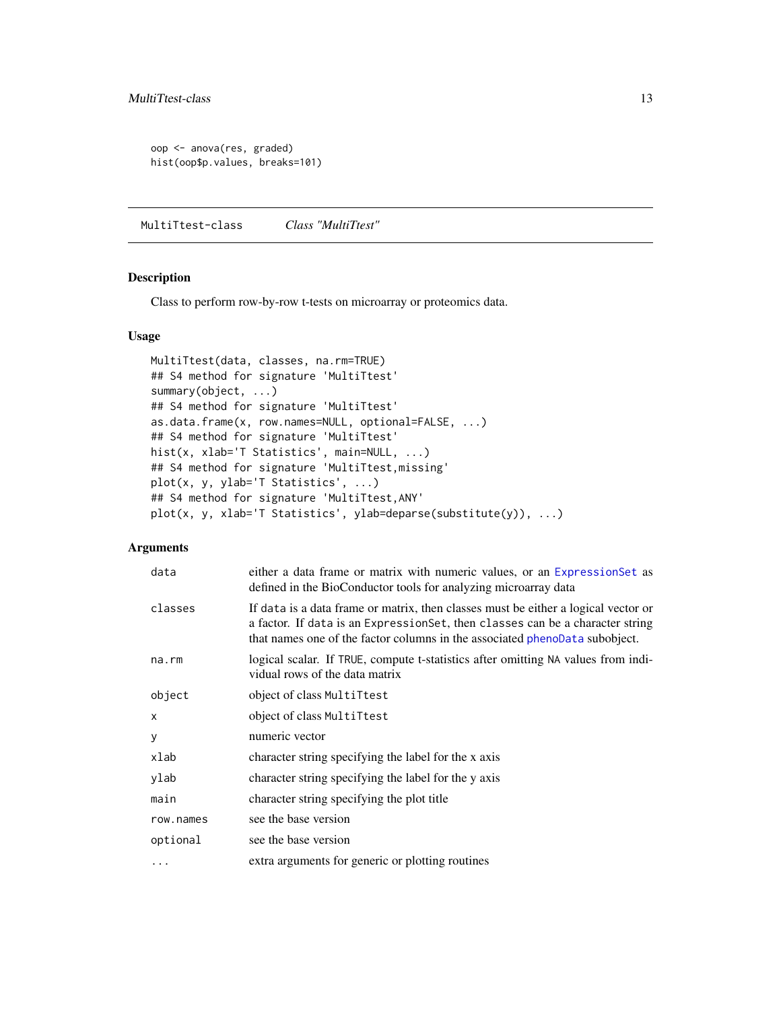```
oop <- anova(res, graded)
hist(oop$p.values, breaks=101)
```
MultiTtest-class *Class "MultiTtest"*

# <span id="page-12-1"></span>Description

Class to perform row-by-row t-tests on microarray or proteomics data.

# Usage

```
MultiTtest(data, classes, na.rm=TRUE)
## S4 method for signature 'MultiTtest'
summary(object, ...)
## S4 method for signature 'MultiTtest'
as.data.frame(x, row.names=NULL, optional=FALSE, ...)
## S4 method for signature 'MultiTtest'
hist(x, xlab='T Statistics', main=NULL, ...)
## S4 method for signature 'MultiTtest,missing'
plot(x, y, ylab='T Statistics', ...)
## S4 method for signature 'MultiTtest,ANY'
plot(x, y, xlab='T Statistics', ylab=deparse(substitute(y)), ...)
```

| data         | either a data frame or matrix with numeric values, or an Expression Set as<br>defined in the BioConductor tools for analyzing microarray data                                                                                                       |
|--------------|-----------------------------------------------------------------------------------------------------------------------------------------------------------------------------------------------------------------------------------------------------|
| classes      | If data is a data frame or matrix, then classes must be either a logical vector or<br>a factor. If data is an Expression Set, then classes can be a character string<br>that names one of the factor columns in the associated phenoData subobject. |
| $na$ . $rm$  | logical scalar. If TRUE, compute t-statistics after omitting NA values from indi-<br>vidual rows of the data matrix                                                                                                                                 |
| object       | object of class MultiTtest                                                                                                                                                                                                                          |
| $\mathsf{x}$ | object of class MultiTtest                                                                                                                                                                                                                          |
| y            | numeric vector                                                                                                                                                                                                                                      |
| xlab         | character string specifying the label for the x axis                                                                                                                                                                                                |
| ylab         | character string specifying the label for the y axis                                                                                                                                                                                                |
| main         | character string specifying the plot title                                                                                                                                                                                                          |
| row.names    | see the base version                                                                                                                                                                                                                                |
| optional     | see the base version                                                                                                                                                                                                                                |
| .            | extra arguments for generic or plotting routines                                                                                                                                                                                                    |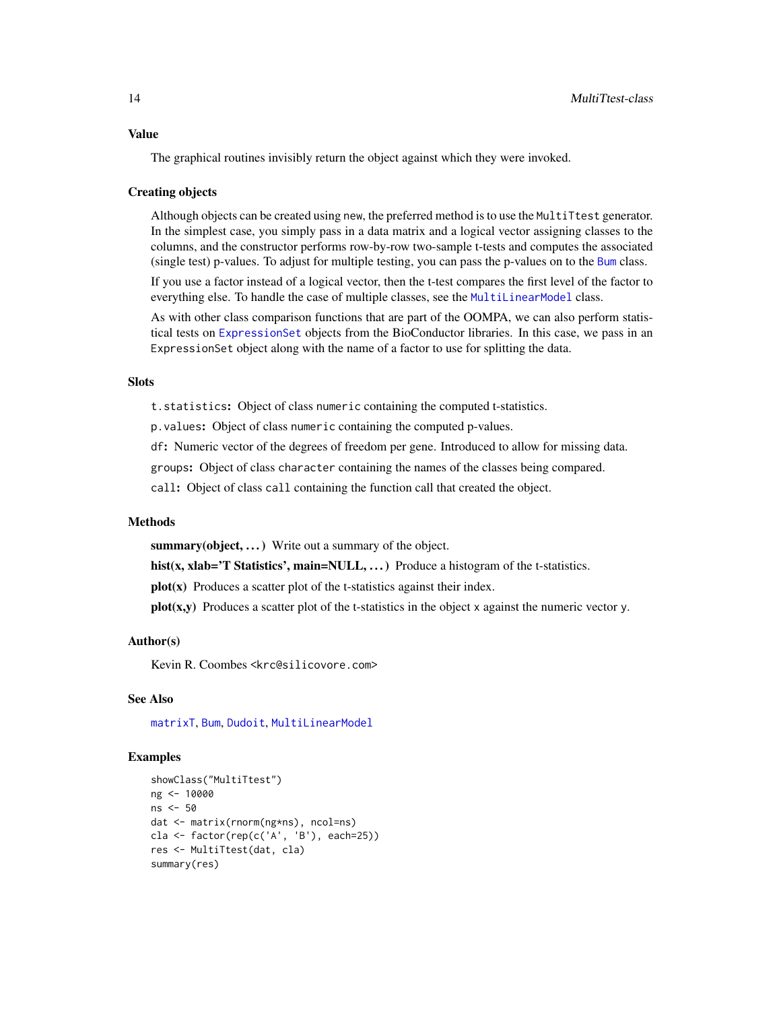<span id="page-13-0"></span>The graphical routines invisibly return the object against which they were invoked.

#### Creating objects

Although objects can be created using new, the preferred method is to use the MultiTtest generator. In the simplest case, you simply pass in a data matrix and a logical vector assigning classes to the columns, and the constructor performs row-by-row two-sample t-tests and computes the associated (single test) p-values. To adjust for multiple testing, you can pass the p-values on to the [Bum](#page-1-1) class.

If you use a factor instead of a logical vector, then the t-test compares the first level of the factor to everything else. To handle the case of multiple classes, see the [MultiLinearModel](#page-9-1) class.

As with other class comparison functions that are part of the OOMPA, we can also perform statistical tests on [ExpressionSet](#page-0-0) objects from the BioConductor libraries. In this case, we pass in an ExpressionSet object along with the name of a factor to use for splitting the data.

# **Slots**

t.statistics: Object of class numeric containing the computed t-statistics.

p.values: Object of class numeric containing the computed p-values.

df: Numeric vector of the degrees of freedom per gene. Introduced to allow for missing data.

groups: Object of class character containing the names of the classes being compared.

call: Object of class call containing the function call that created the object.

#### Methods

summary(object, ...) Write out a summary of the object.

hist(x, xlab='T Statistics', main=NULL, ...) Produce a histogram of the t-statistics.

plot(x) Produces a scatter plot of the t-statistics against their index.

 $plot(x,y)$  Produces a scatter plot of the t-statistics in the object x against the numeric vector y.

#### Author(s)

Kevin R. Coombes <krc@silicovore.com>

# See Also

[matrixT](#page-0-0), [Bum](#page-1-1), [Dudoit](#page-5-1), [MultiLinearModel](#page-9-1)

# Examples

```
showClass("MultiTtest")
ng <- 10000
ns <- 50
dat <- matrix(rnorm(ng*ns), ncol=ns)
cla <- factor(rep(c('A', 'B'), each=25))
res <- MultiTtest(dat, cla)
summary(res)
```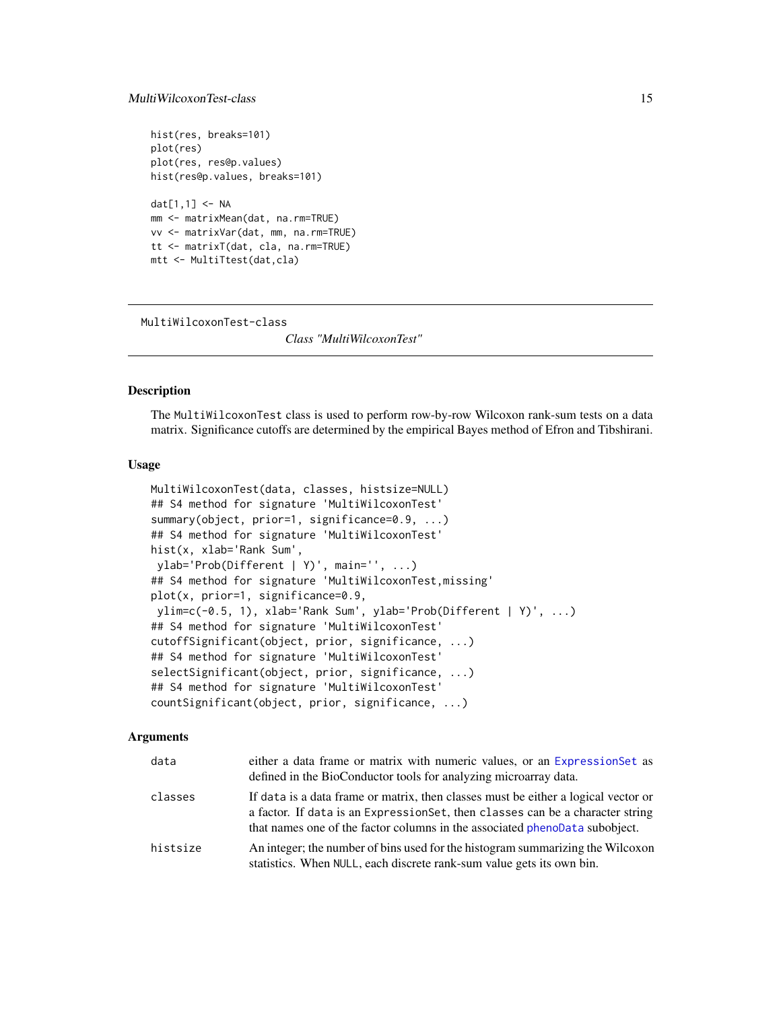# <span id="page-14-0"></span>MultiWilcoxonTest-class 15

```
hist(res, breaks=101)
plot(res)
plot(res, res@p.values)
hist(res@p.values, breaks=101)
dat[1,1] <- NA
mm <- matrixMean(dat, na.rm=TRUE)
vv <- matrixVar(dat, mm, na.rm=TRUE)
tt <- matrixT(dat, cla, na.rm=TRUE)
mtt <- MultiTtest(dat,cla)
```
MultiWilcoxonTest-class

*Class "MultiWilcoxonTest"*

# <span id="page-14-1"></span>Description

The MultiWilcoxonTest class is used to perform row-by-row Wilcoxon rank-sum tests on a data matrix. Significance cutoffs are determined by the empirical Bayes method of Efron and Tibshirani.

# Usage

```
MultiWilcoxonTest(data, classes, histsize=NULL)
## S4 method for signature 'MultiWilcoxonTest'
summary(object, prior=1, significance=0.9, ...)
## S4 method for signature 'MultiWilcoxonTest'
hist(x, xlab='Rank Sum',
ylab='Prob(Different | Y)', main='', ...)
## S4 method for signature 'MultiWilcoxonTest,missing'
plot(x, prior=1, significance=0.9,
ylim=c(-0.5, 1), xlab='Rank Sum', ylab='Prob(Different | Y)', ...)
## S4 method for signature 'MultiWilcoxonTest'
cutoffSignificant(object, prior, significance, ...)
## S4 method for signature 'MultiWilcoxonTest'
selectSignificant(object, prior, significance, ...)
## S4 method for signature 'MultiWilcoxonTest'
countSignificant(object, prior, significance, ...)
```

| data     | either a data frame or matrix with numeric values, or an Expression Set as<br>defined in the BioConductor tools for analyzing microarray data.                                                                                                     |
|----------|----------------------------------------------------------------------------------------------------------------------------------------------------------------------------------------------------------------------------------------------------|
| classes  | If data is a data frame or matrix, then classes must be either a logical vector or<br>a factor. If data is an ExpressionSet, then classes can be a character string<br>that names one of the factor columns in the associated phenoData subobject. |
| histsize | An integer; the number of bins used for the histogram summarizing the Wilcoxon<br>statistics. When NULL, each discrete rank-sum value gets its own bin.                                                                                            |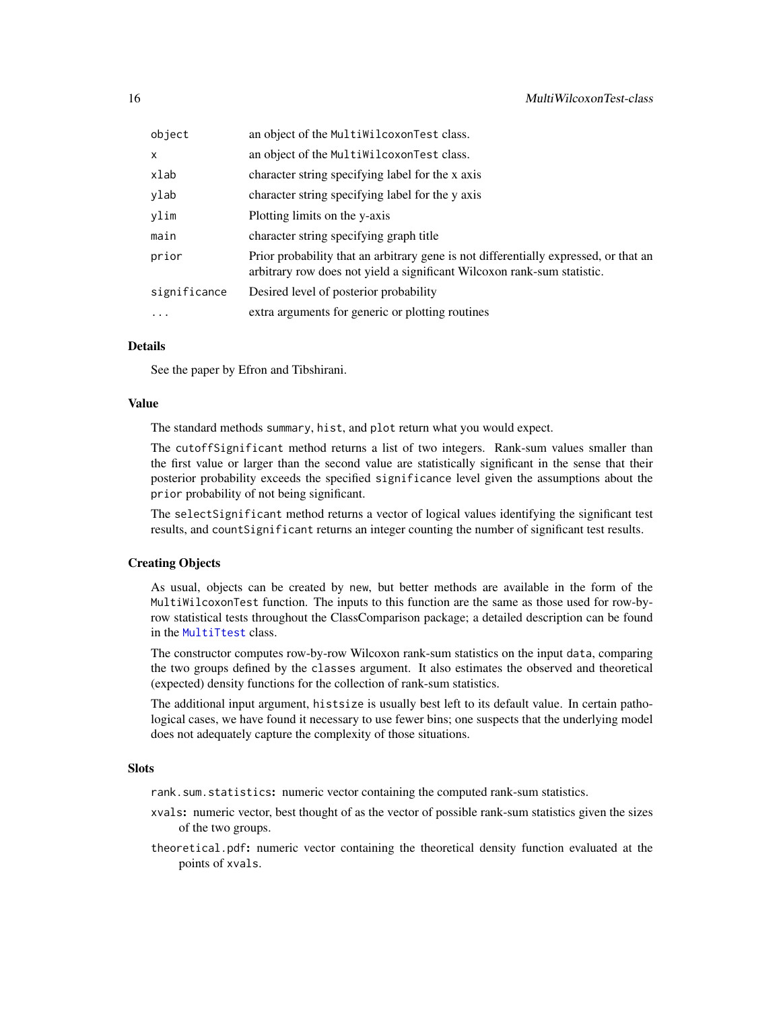<span id="page-15-0"></span>

| object       | an object of the MultiWilcoxonTest class.                                                                                                                       |
|--------------|-----------------------------------------------------------------------------------------------------------------------------------------------------------------|
| $\mathsf{x}$ | an object of the MultiWilcoxonTest class.                                                                                                                       |
| xlab         | character string specifying label for the x axis                                                                                                                |
| ylab         | character string specifying label for the y axis                                                                                                                |
| ylim         | Plotting limits on the y-axis                                                                                                                                   |
| main         | character string specifying graph title                                                                                                                         |
| prior        | Prior probability that an arbitrary gene is not differentially expressed, or that an<br>arbitrary row does not yield a significant Wilcoxon rank-sum statistic. |
| significance | Desired level of posterior probability                                                                                                                          |
| $\ddotsc$    | extra arguments for generic or plotting routines                                                                                                                |

# Details

See the paper by Efron and Tibshirani.

#### Value

The standard methods summary, hist, and plot return what you would expect.

The cutoffSignificant method returns a list of two integers. Rank-sum values smaller than the first value or larger than the second value are statistically significant in the sense that their posterior probability exceeds the specified significance level given the assumptions about the prior probability of not being significant.

The selectSignificant method returns a vector of logical values identifying the significant test results, and countSignificant returns an integer counting the number of significant test results.

# Creating Objects

As usual, objects can be created by new, but better methods are available in the form of the MultiWilcoxonTest function. The inputs to this function are the same as those used for row-byrow statistical tests throughout the ClassComparison package; a detailed description can be found in the [MultiTtest](#page-12-1) class.

The constructor computes row-by-row Wilcoxon rank-sum statistics on the input data, comparing the two groups defined by the classes argument. It also estimates the observed and theoretical (expected) density functions for the collection of rank-sum statistics.

The additional input argument, histsize is usually best left to its default value. In certain pathological cases, we have found it necessary to use fewer bins; one suspects that the underlying model does not adequately capture the complexity of those situations.

#### Slots

rank.sum.statistics: numeric vector containing the computed rank-sum statistics.

- xvals: numeric vector, best thought of as the vector of possible rank-sum statistics given the sizes of the two groups.
- theoretical.pdf: numeric vector containing the theoretical density function evaluated at the points of xvals.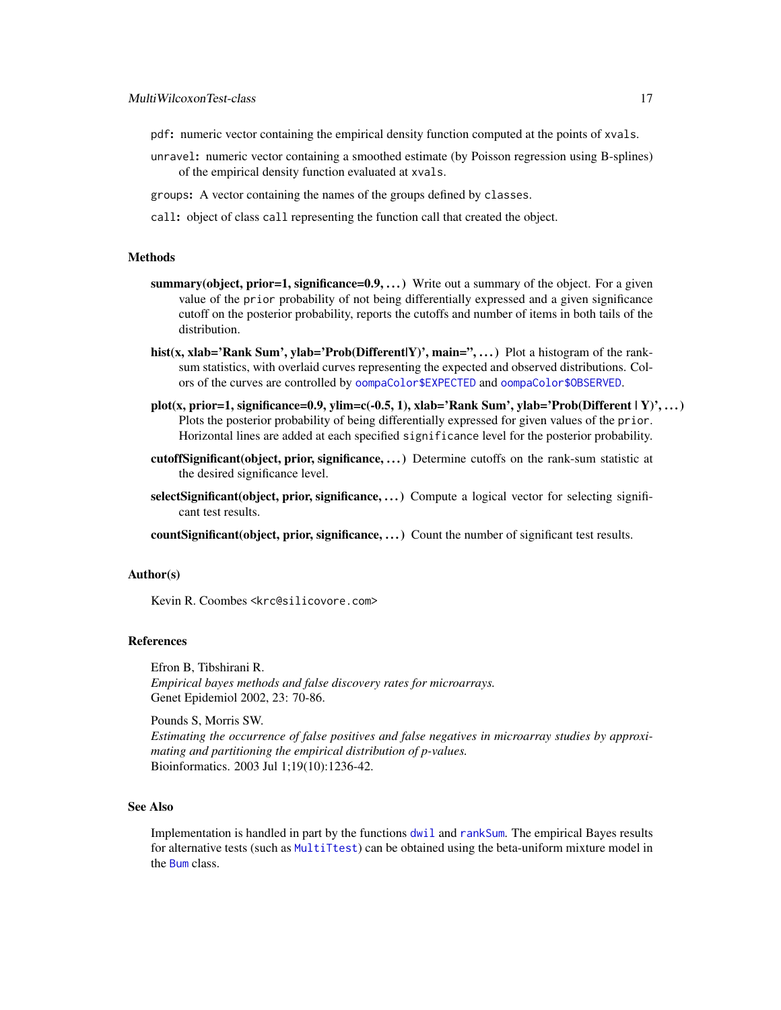- <span id="page-16-0"></span>pdf: numeric vector containing the empirical density function computed at the points of xvals.
- unravel: numeric vector containing a smoothed estimate (by Poisson regression using B-splines) of the empirical density function evaluated at xvals.
- groups: A vector containing the names of the groups defined by classes.
- call: object of class call representing the function call that created the object.

#### Methods

- summary(object, prior=1, significance= $0.9, \ldots$ ) Write out a summary of the object. For a given value of the prior probability of not being differentially expressed and a given significance cutoff on the posterior probability, reports the cutoffs and number of items in both tails of the distribution.
- hist(x, xlab='Rank Sum', ylab='Prob(Different|Y)', main='',...) Plot a histogram of the ranksum statistics, with overlaid curves representing the expected and observed distributions. Colors of the curves are controlled by [oompaColor\\$EXPECTED](#page-0-0) and [oompaColor\\$OBSERVED](#page-0-0).
- plot(x, prior=1, significance=0.9, ylim=c(-0.5, 1), xlab='Rank Sum', ylab='Prob(Different | Y)', ...) Plots the posterior probability of being differentially expressed for given values of the prior. Horizontal lines are added at each specified significance level for the posterior probability.
- cutoffSignificant(object, prior, significance, ...) Determine cutoffs on the rank-sum statistic at the desired significance level.
- selectSignificant(object, prior, significance, ...) Compute a logical vector for selecting significant test results.

countSignificant(object, prior, significance, ...) Count the number of significant test results.

#### Author(s)

Kevin R. Coombes <krc@silicovore.com>

#### References

Efron B, Tibshirani R. *Empirical bayes methods and false discovery rates for microarrays.* Genet Epidemiol 2002, 23: 70-86.

Pounds S, Morris SW.

*Estimating the occurrence of false positives and false negatives in microarray studies by approximating and partitioning the empirical distribution of p-values.* Bioinformatics. 2003 Jul 1;19(10):1236-42.

# See Also

Implementation is handled in part by the functions [dwil](#page-8-1) and [rankSum](#page-17-1). The empirical Bayes results for alternative tests (such as [MultiTtest](#page-12-1)) can be obtained using the beta-uniform mixture model in the [Bum](#page-1-1) class.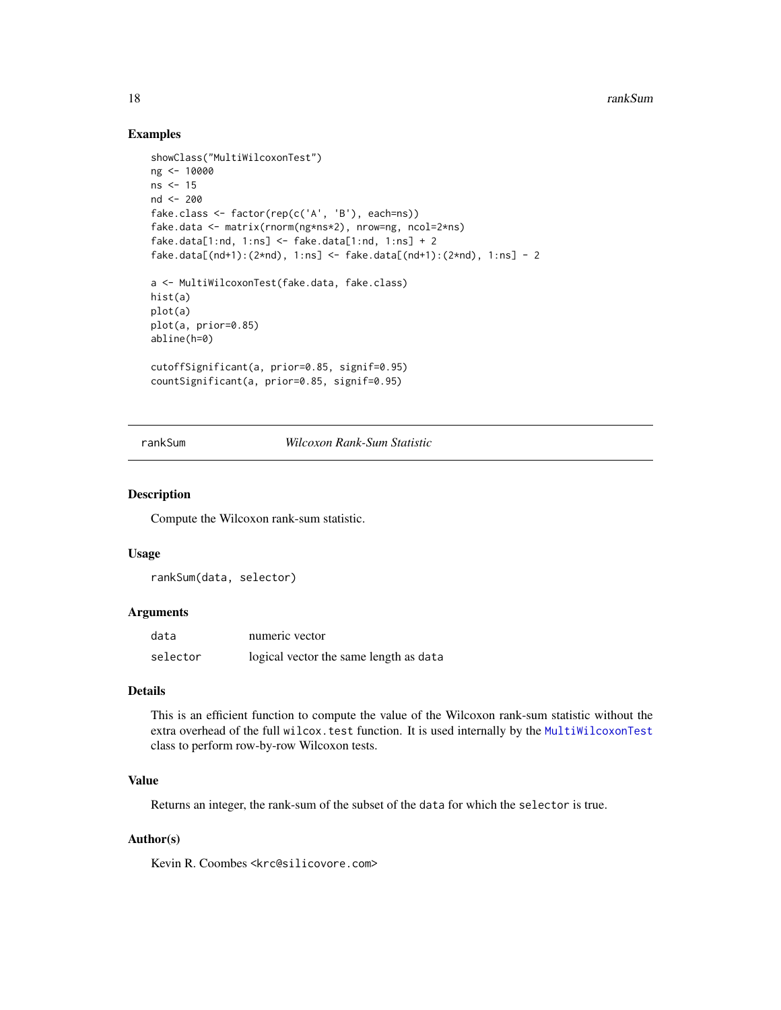# Examples

```
showClass("MultiWilcoxonTest")
ng <- 10000
ns < -15nd <- 200
fake.class <- factor(rep(c('A', 'B'), each=ns))
fake.data <- matrix(rnorm(ng*ns*2), nrow=ng, ncol=2*ns)
fake.data[1:nd, 1:ns] <- fake.data[1:nd, 1:ns] + 2
fake.data[(nd+1):(2*nd), 1:ns] <- fake.data[(nd+1):(2*nd), 1:ns] - 2
a <- MultiWilcoxonTest(fake.data, fake.class)
hist(a)
plot(a)
plot(a, prior=0.85)
abline(h=0)
cutoffSignificant(a, prior=0.85, signif=0.95)
countSignificant(a, prior=0.85, signif=0.95)
```
<span id="page-17-1"></span>rankSum *Wilcoxon Rank-Sum Statistic*

#### Description

Compute the Wilcoxon rank-sum statistic.

# Usage

```
rankSum(data, selector)
```
#### **Arguments**

| data     | numeric vector                         |
|----------|----------------------------------------|
| selector | logical vector the same length as data |

#### Details

This is an efficient function to compute the value of the Wilcoxon rank-sum statistic without the extra overhead of the full wilcox.test function. It is used internally by the [MultiWilcoxonTest](#page-14-1) class to perform row-by-row Wilcoxon tests.

# Value

Returns an integer, the rank-sum of the subset of the data for which the selector is true.

# Author(s)

Kevin R. Coombes <krc@silicovore.com>

<span id="page-17-0"></span>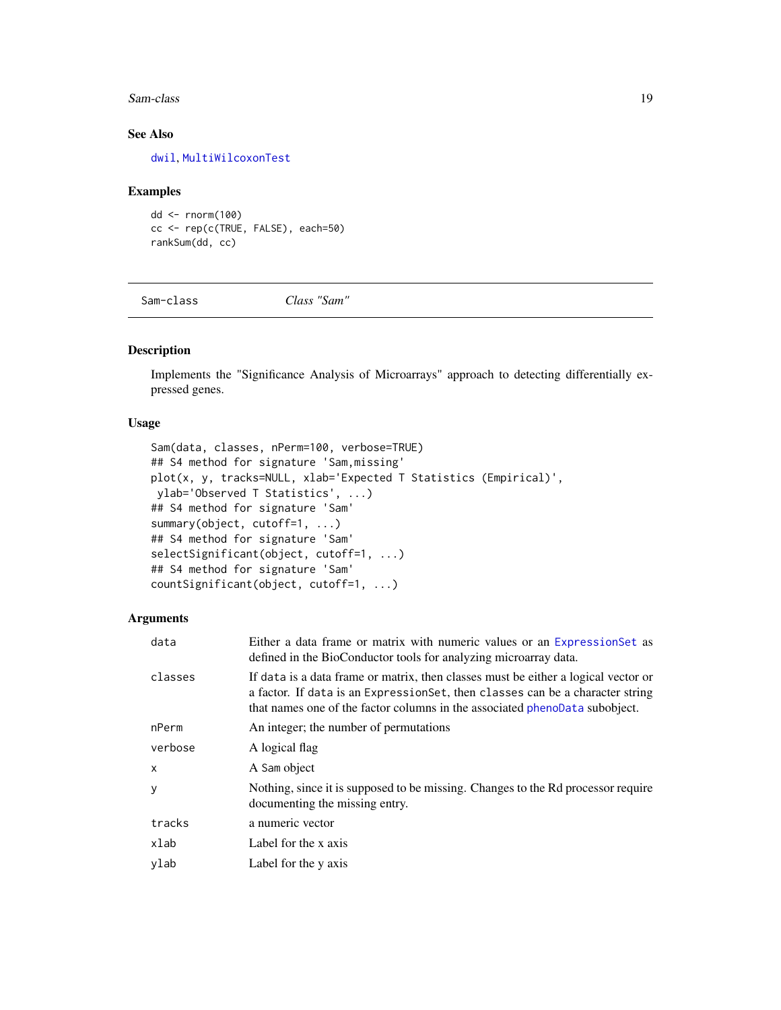#### <span id="page-18-0"></span>Sam-class 19

# See Also

[dwil](#page-8-1), [MultiWilcoxonTest](#page-14-1)

#### Examples

dd <- rnorm(100) cc <- rep(c(TRUE, FALSE), each=50) rankSum(dd, cc)

Sam-class *Class "Sam"*

# <span id="page-18-1"></span>Description

Implements the "Significance Analysis of Microarrays" approach to detecting differentially expressed genes.

# Usage

```
Sam(data, classes, nPerm=100, verbose=TRUE)
## S4 method for signature 'Sam,missing'
plot(x, y, tracks=NULL, xlab='Expected T Statistics (Empirical)',
ylab='Observed T Statistics', ...)
## S4 method for signature 'Sam'
summary(object, cutoff=1, ...)
## S4 method for signature 'Sam'
selectSignificant(object, cutoff=1, ...)
## S4 method for signature 'Sam'
countSignificant(object, cutoff=1, ...)
```

| data         | Either a data frame or matrix with numeric values or an Expression Set as<br>defined in the BioConductor tools for analyzing microarray data.                                                                                                      |
|--------------|----------------------------------------------------------------------------------------------------------------------------------------------------------------------------------------------------------------------------------------------------|
| classes      | If data is a data frame or matrix, then classes must be either a logical vector or<br>a factor. If data is an ExpressionSet, then classes can be a character string<br>that names one of the factor columns in the associated phenoData subobject. |
| nPerm        | An integer; the number of permutations                                                                                                                                                                                                             |
| verbose      | A logical flag                                                                                                                                                                                                                                     |
| $\mathsf{x}$ | A Sam object                                                                                                                                                                                                                                       |
| V            | Nothing, since it is supposed to be missing. Changes to the Rd processor require<br>documenting the missing entry.                                                                                                                                 |
| tracks       | a numeric vector                                                                                                                                                                                                                                   |
| xlab         | Label for the x axis                                                                                                                                                                                                                               |
| ylab         | Label for the y axis                                                                                                                                                                                                                               |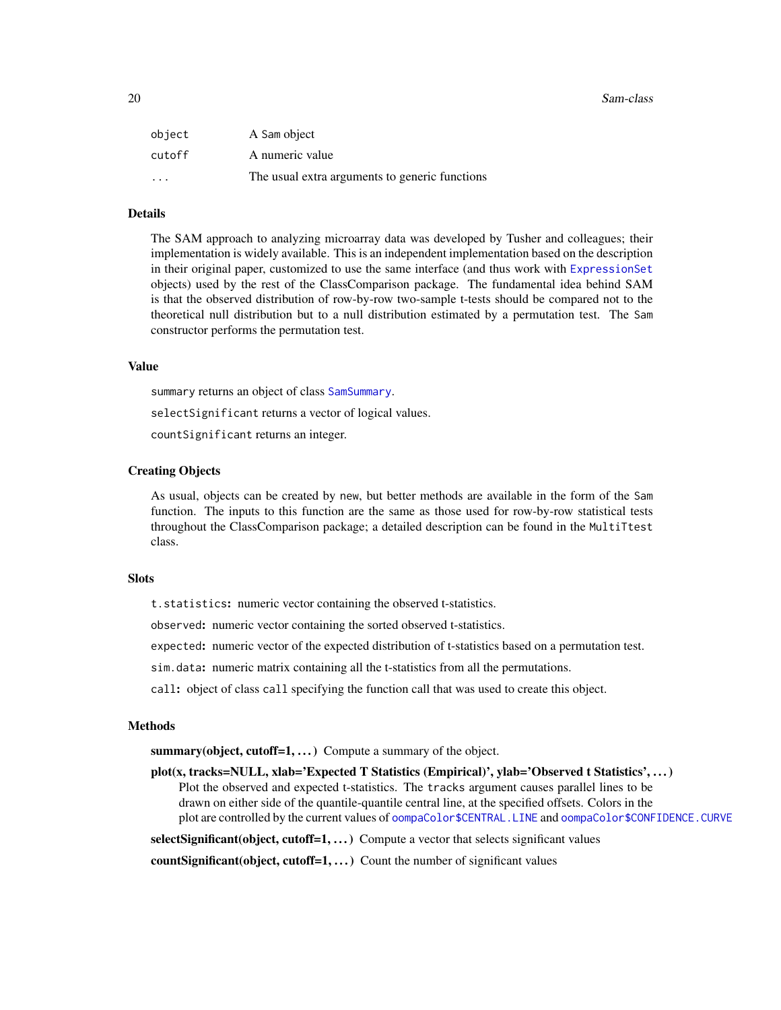#### <span id="page-19-0"></span>20 Sam-class 20 Sam-class 20 Sam-class 20 Sam-class 20 Sam-class 20 Sam-class 20 Sam-class 20 Sam-class 20 Sam-class 20 Sam-class 20 Sam-class 20 Sam-class 20 Sam-class 20 Sam-class 20 Sam-class 20 Sam-class 20 Sam-class 2

| object                  | A Sam object                                   |
|-------------------------|------------------------------------------------|
| cutoff                  | A numeric value                                |
| $\cdot$ $\cdot$ $\cdot$ | The usual extra arguments to generic functions |

# Details

The SAM approach to analyzing microarray data was developed by Tusher and colleagues; their implementation is widely available. This is an independent implementation based on the description in their original paper, customized to use the same interface (and thus work with [ExpressionSet](#page-0-0) objects) used by the rest of the ClassComparison package. The fundamental idea behind SAM is that the observed distribution of row-by-row two-sample t-tests should be compared not to the theoretical null distribution but to a null distribution estimated by a permutation test. The Sam constructor performs the permutation test.

#### Value

summary returns an object of class [SamSummary](#page-20-1).

selectSignificant returns a vector of logical values.

countSignificant returns an integer.

#### Creating Objects

As usual, objects can be created by new, but better methods are available in the form of the Sam function. The inputs to this function are the same as those used for row-by-row statistical tests throughout the ClassComparison package; a detailed description can be found in the MultiTtest class.

#### **Slots**

t.statistics: numeric vector containing the observed t-statistics.

observed: numeric vector containing the sorted observed t-statistics.

expected: numeric vector of the expected distribution of t-statistics based on a permutation test.

sim.data: numeric matrix containing all the t-statistics from all the permutations.

call: object of class call specifying the function call that was used to create this object.

#### **Methods**

summary(object, cutoff=1, ...) Compute a summary of the object.

plot(x, tracks=NULL, xlab='Expected T Statistics (Empirical)', ylab='Observed t Statistics', ...) Plot the observed and expected t-statistics. The tracks argument causes parallel lines to be drawn on either side of the quantile-quantile central line, at the specified offsets. Colors in the plot are controlled by the current values of [oompaColor\\$CENTRAL.LINE](#page-0-0) and [oompaColor\\$CONFIDENCE.CURVE](#page-0-0)

selectSignificant(object, cutoff=1, ...) Compute a vector that selects significant values

count Significant (object, cutoff=1,  $\dots$ ) Count the number of significant values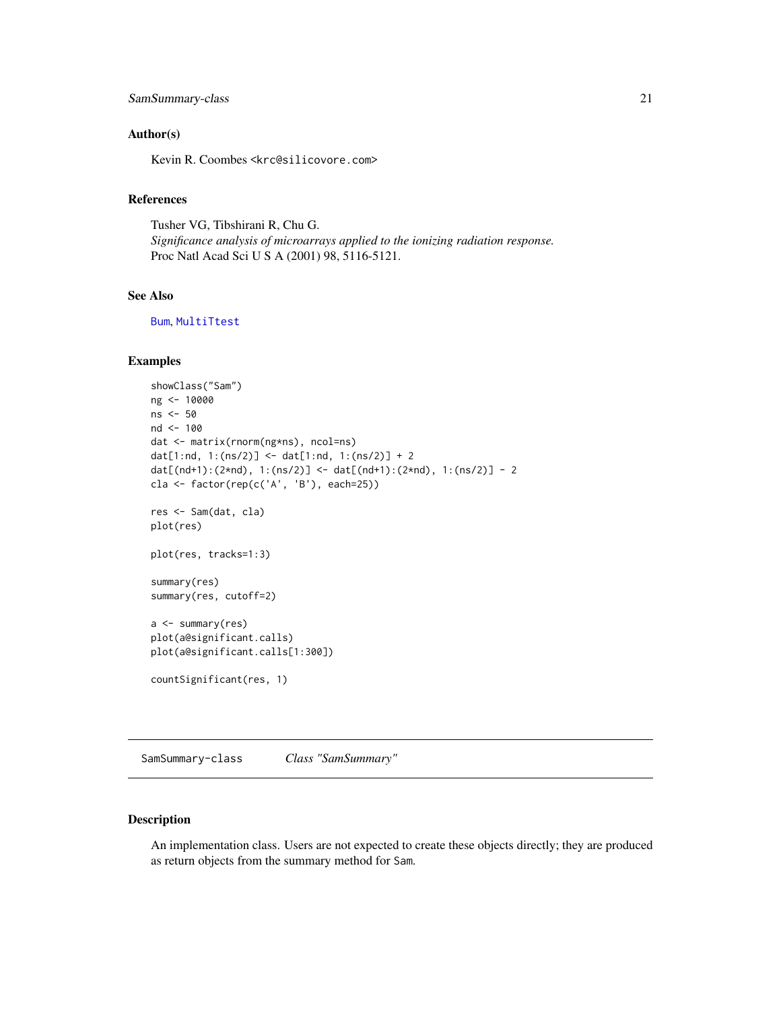# <span id="page-20-0"></span>SamSummary-class 21

# Author(s)

Kevin R. Coombes <krc@silicovore.com>

# References

Tusher VG, Tibshirani R, Chu G. *Significance analysis of microarrays applied to the ionizing radiation response.* Proc Natl Acad Sci U S A (2001) 98, 5116-5121.

# See Also

[Bum](#page-1-1), [MultiTtest](#page-12-1)

# Examples

```
showClass("Sam")
ng <- 10000
ns <- 50
nd <- 100
dat <- matrix(rnorm(ng*ns), ncol=ns)
dat[1:nd, 1:(ns/2)] <- dat[1:nd, 1:(ns/2)] + 2
dat[(nd+1):(2*nd), 1:(ns/2)] <- dat[(nd+1):(2*nd), 1:(ns/2)] - 2
cla <- factor(rep(c('A', 'B'), each=25))
res <- Sam(dat, cla)
plot(res)
plot(res, tracks=1:3)
summary(res)
summary(res, cutoff=2)
a <- summary(res)
plot(a@significant.calls)
plot(a@significant.calls[1:300])
countSignificant(res, 1)
```
SamSummary-class *Class "SamSummary"*

# <span id="page-20-1"></span>Description

An implementation class. Users are not expected to create these objects directly; they are produced as return objects from the summary method for Sam.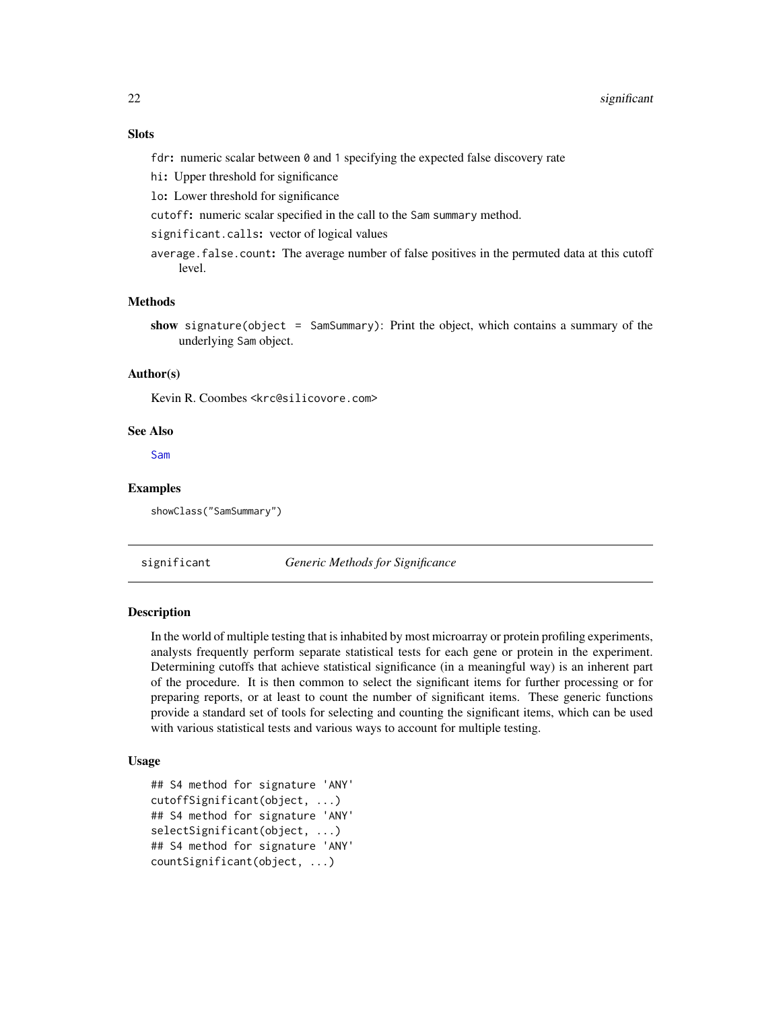# <span id="page-21-0"></span>**Slots**

fdr: numeric scalar between 0 and 1 specifying the expected false discovery rate

hi: Upper threshold for significance

lo: Lower threshold for significance

cutoff: numeric scalar specified in the call to the Sam summary method.

significant.calls: vector of logical values

average.false.count: The average number of false positives in the permuted data at this cutoff level.

# Methods

show signature(object = SamSummary): Print the object, which contains a summary of the underlying Sam object.

# Author(s)

Kevin R. Coombes <krc@silicovore.com>

#### See Also

[Sam](#page-18-1)

# Examples

showClass("SamSummary")

significant *Generic Methods for Significance*

#### **Description**

In the world of multiple testing that is inhabited by most microarray or protein profiling experiments, analysts frequently perform separate statistical tests for each gene or protein in the experiment. Determining cutoffs that achieve statistical significance (in a meaningful way) is an inherent part of the procedure. It is then common to select the significant items for further processing or for preparing reports, or at least to count the number of significant items. These generic functions provide a standard set of tools for selecting and counting the significant items, which can be used with various statistical tests and various ways to account for multiple testing.

# Usage

```
## S4 method for signature 'ANY'
cutoffSignificant(object, ...)
## S4 method for signature 'ANY'
selectSignificant(object, ...)
## S4 method for signature 'ANY'
countSignificant(object, ...)
```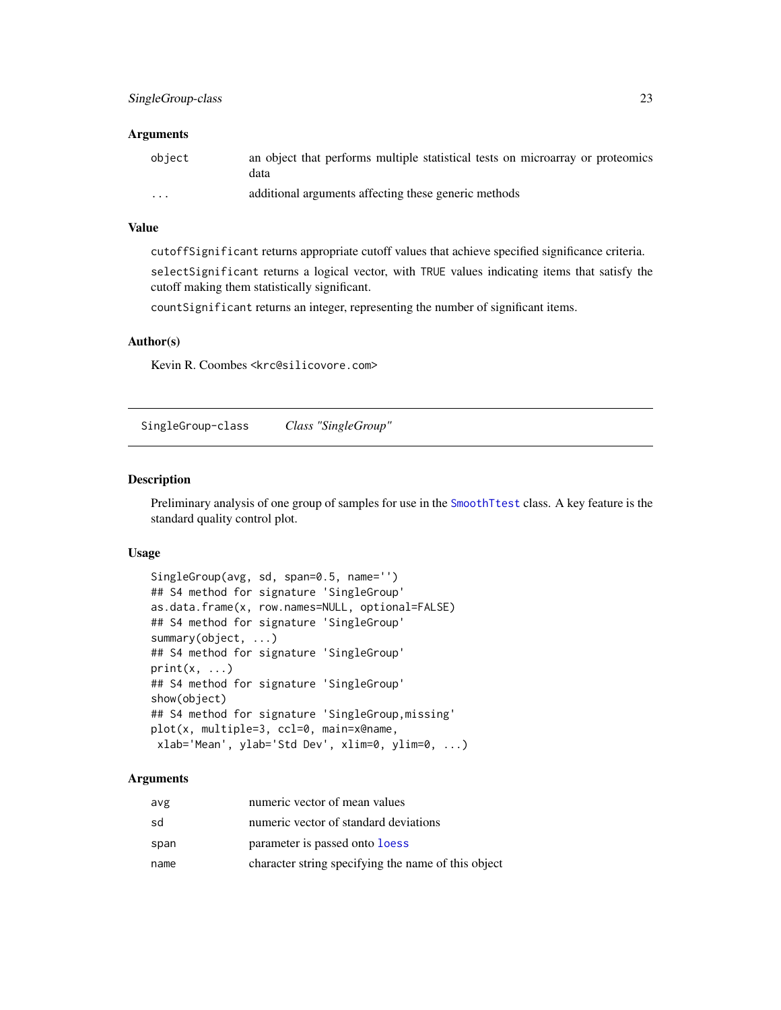#### <span id="page-22-0"></span>Arguments

| obiect               | an object that performs multiple statistical tests on microarray or proteomics<br>data |
|----------------------|----------------------------------------------------------------------------------------|
| $\ddot{\phantom{0}}$ | additional arguments affecting these generic methods                                   |

# Value

cutoffSignificant returns appropriate cutoff values that achieve specified significance criteria.

selectSignificant returns a logical vector, with TRUE values indicating items that satisfy the cutoff making them statistically significant.

countSignificant returns an integer, representing the number of significant items.

# Author(s)

Kevin R. Coombes <krc@silicovore.com>

SingleGroup-class *Class "SingleGroup"*

# <span id="page-22-1"></span>Description

Preliminary analysis of one group of samples for use in the [SmoothTtest](#page-25-1) class. A key feature is the standard quality control plot.

# Usage

```
SingleGroup(avg, sd, span=0.5, name='')
## S4 method for signature 'SingleGroup'
as.data.frame(x, row.names=NULL, optional=FALSE)
## S4 method for signature 'SingleGroup'
summary(object, ...)
## S4 method for signature 'SingleGroup'
print(x, \ldots)## S4 method for signature 'SingleGroup'
show(object)
## S4 method for signature 'SingleGroup,missing'
plot(x, multiple=3, ccl=0, main=x@name,
xlab='Mean', ylab='Std Dev', xlim=0, ylim=0, ...)
```

| avg  | numeric vector of mean values                       |
|------|-----------------------------------------------------|
| sd   | numeric vector of standard deviations               |
| span | parameter is passed onto loess                      |
| name | character string specifying the name of this object |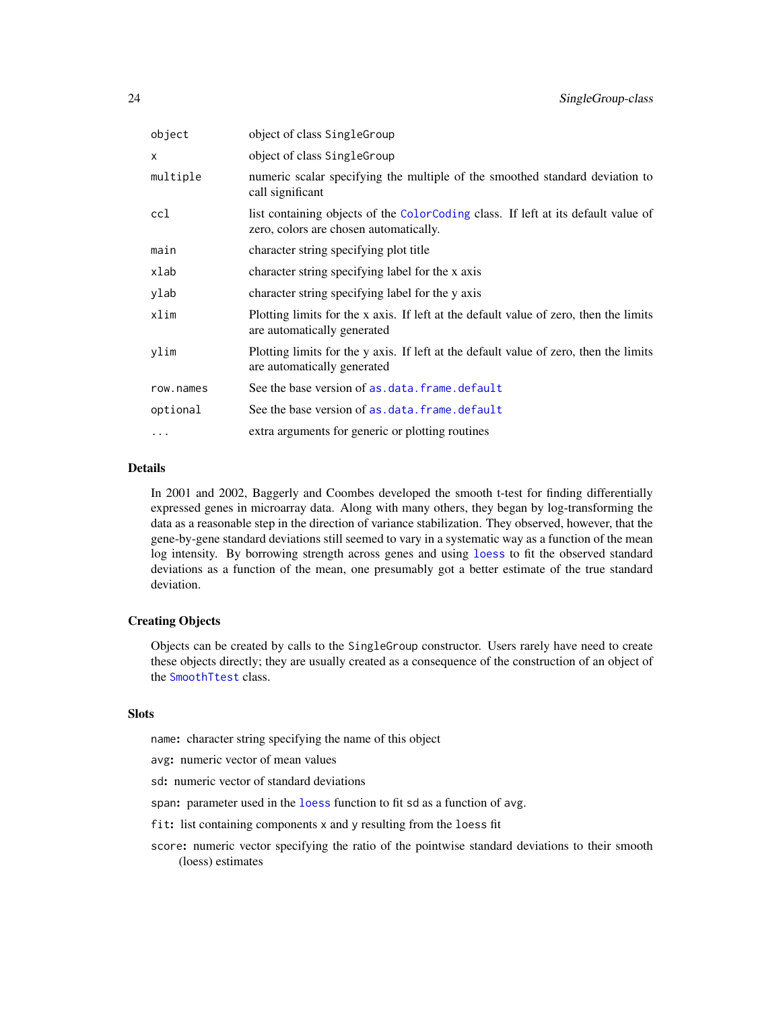<span id="page-23-0"></span>

| object    | object of class SingleGroup                                                                                                 |
|-----------|-----------------------------------------------------------------------------------------------------------------------------|
| x         | object of class SingleGroup                                                                                                 |
| multiple  | numeric scalar specifying the multiple of the smoothed standard deviation to<br>call significant                            |
| ccl       | list containing objects of the ColorCoding class. If left at its default value of<br>zero, colors are chosen automatically. |
| main      | character string specifying plot title                                                                                      |
| xlab      | character string specifying label for the x axis                                                                            |
| ylab      | character string specifying label for the y axis                                                                            |
| xlim      | Plotting limits for the x axis. If left at the default value of zero, then the limits<br>are automatically generated        |
| ylim      | Plotting limits for the y axis. If left at the default value of zero, then the limits<br>are automatically generated        |
| row.names | See the base version of as.data.frame.default                                                                               |
| optional  | See the base version of as.data.frame.default                                                                               |
| .         | extra arguments for generic or plotting routines                                                                            |
|           |                                                                                                                             |

# Details

In 2001 and 2002, Baggerly and Coombes developed the smooth t-test for finding differentially expressed genes in microarray data. Along with many others, they began by log-transforming the data as a reasonable step in the direction of variance stabilization. They observed, however, that the gene-by-gene standard deviations still seemed to vary in a systematic way as a function of the mean log intensity. By borrowing strength across genes and using [loess](#page-0-0) to fit the observed standard deviations as a function of the mean, one presumably got a better estimate of the true standard deviation.

# Creating Objects

Objects can be created by calls to the SingleGroup constructor. Users rarely have need to create these objects directly; they are usually created as a consequence of the construction of an object of the [SmoothTtest](#page-25-1) class.

# Slots

name: character string specifying the name of this object

avg: numeric vector of mean values

sd: numeric vector of standard deviations

span: parameter used in the [loess](#page-0-0) function to fit sd as a function of avg.

- fit: list containing components x and y resulting from the loess fit
- score: numeric vector specifying the ratio of the pointwise standard deviations to their smooth (loess) estimates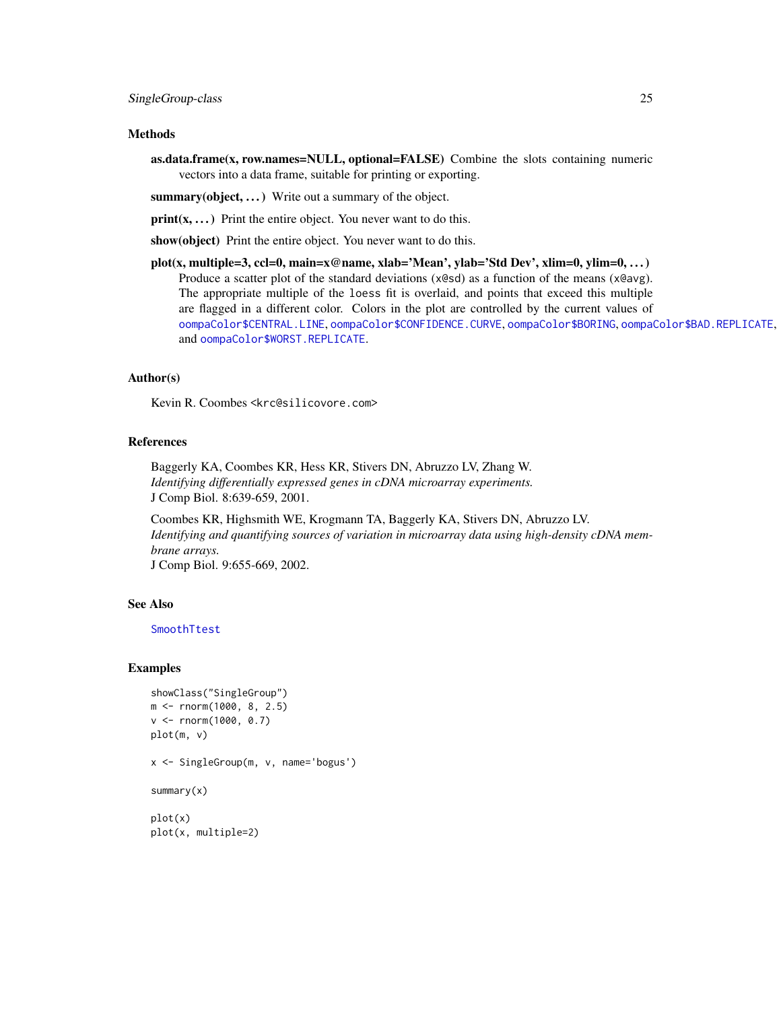#### <span id="page-24-0"></span>Methods

as.data.frame(x, row.names=NULL, optional=FALSE) Combine the slots containing numeric vectors into a data frame, suitable for printing or exporting.

summary(object, ...) Write out a summary of the object.

 $print(x, \ldots)$  Print the entire object. You never want to do this.

show(object) Print the entire object. You never want to do this.

plot(x, multiple=3, ccl=0, main=x@name, xlab='Mean', ylab='Std Dev', xlim=0, ylim=0, . . . ) Produce a scatter plot of the standard deviations (x@sd) as a function of the means (x@avg). The appropriate multiple of the loess fit is overlaid, and points that exceed this multiple are flagged in a different color. Colors in the plot are controlled by the current values of [oompaColor\\$CENTRAL.LINE](#page-0-0), [oompaColor\\$CONFIDENCE.CURVE](#page-0-0), [oompaColor\\$BORING](#page-0-0), [oompaColor\\$BAD.REPLICATE](#page-0-0), and [oompaColor\\$WORST.REPLICATE](#page-0-0).

# Author(s)

Kevin R. Coombes <krc@silicovore.com>

# References

Baggerly KA, Coombes KR, Hess KR, Stivers DN, Abruzzo LV, Zhang W. *Identifying differentially expressed genes in cDNA microarray experiments.* J Comp Biol. 8:639-659, 2001.

Coombes KR, Highsmith WE, Krogmann TA, Baggerly KA, Stivers DN, Abruzzo LV. *Identifying and quantifying sources of variation in microarray data using high-density cDNA membrane arrays.* J Comp Biol. 9:655-669, 2002.

# See Also

[SmoothTtest](#page-25-1)

#### Examples

```
showClass("SingleGroup")
m <- rnorm(1000, 8, 2.5)
v <- rnorm(1000, 0.7)
plot(m, v)
x <- SingleGroup(m, v, name='bogus')
summary(x)
plot(x)
plot(x, multiple=2)
```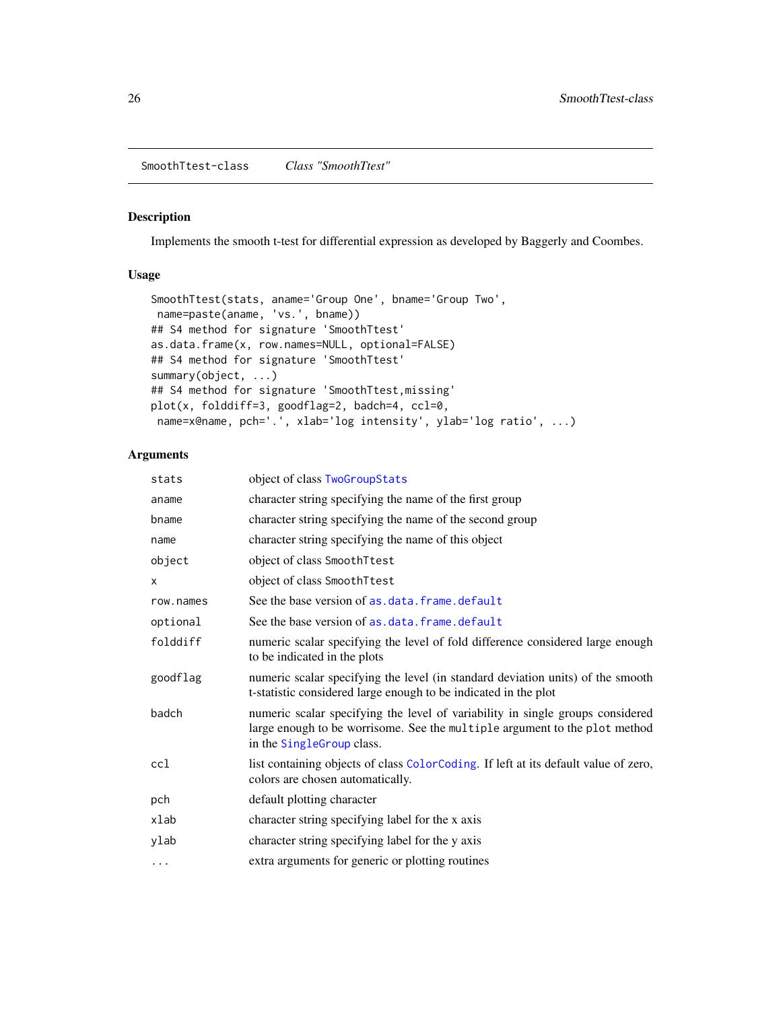# <span id="page-25-1"></span><span id="page-25-0"></span>Description

Implements the smooth t-test for differential expression as developed by Baggerly and Coombes.

# Usage

```
SmoothTtest(stats, aname='Group One', bname='Group Two',
name=paste(aname, 'vs.', bname))
## S4 method for signature 'SmoothTtest'
as.data.frame(x, row.names=NULL, optional=FALSE)
## S4 method for signature 'SmoothTtest'
summary(object, ...)
## S4 method for signature 'SmoothTtest,missing'
plot(x, folddiff=3, goodflag=2, badch=4, ccl=0,
name=x@name, pch='.', xlab='log intensity', ylab='log ratio', ...)
```

| stats     | object of class TwoGroupStats                                                                                                                                                             |
|-----------|-------------------------------------------------------------------------------------------------------------------------------------------------------------------------------------------|
| aname     | character string specifying the name of the first group                                                                                                                                   |
| bname     | character string specifying the name of the second group                                                                                                                                  |
| name      | character string specifying the name of this object                                                                                                                                       |
| object    | object of class SmoothTtest                                                                                                                                                               |
| X         | object of class SmoothTtest                                                                                                                                                               |
| row.names | See the base version of as.data.frame.default                                                                                                                                             |
| optional  | See the base version of as.data.frame.default                                                                                                                                             |
| folddiff  | numeric scalar specifying the level of fold difference considered large enough<br>to be indicated in the plots                                                                            |
| goodflag  | numeric scalar specifying the level (in standard deviation units) of the smooth<br>t-statistic considered large enough to be indicated in the plot                                        |
| badch     | numeric scalar specifying the level of variability in single groups considered<br>large enough to be worrisome. See the multiple argument to the plot method<br>in the SingleGroup class. |
| ccl       | list containing objects of class ColorCoding. If left at its default value of zero,<br>colors are chosen automatically.                                                                   |
| pch       | default plotting character                                                                                                                                                                |
| xlab      | character string specifying label for the x axis                                                                                                                                          |
| ylab      | character string specifying label for the y axis                                                                                                                                          |
| $\cdots$  | extra arguments for generic or plotting routines                                                                                                                                          |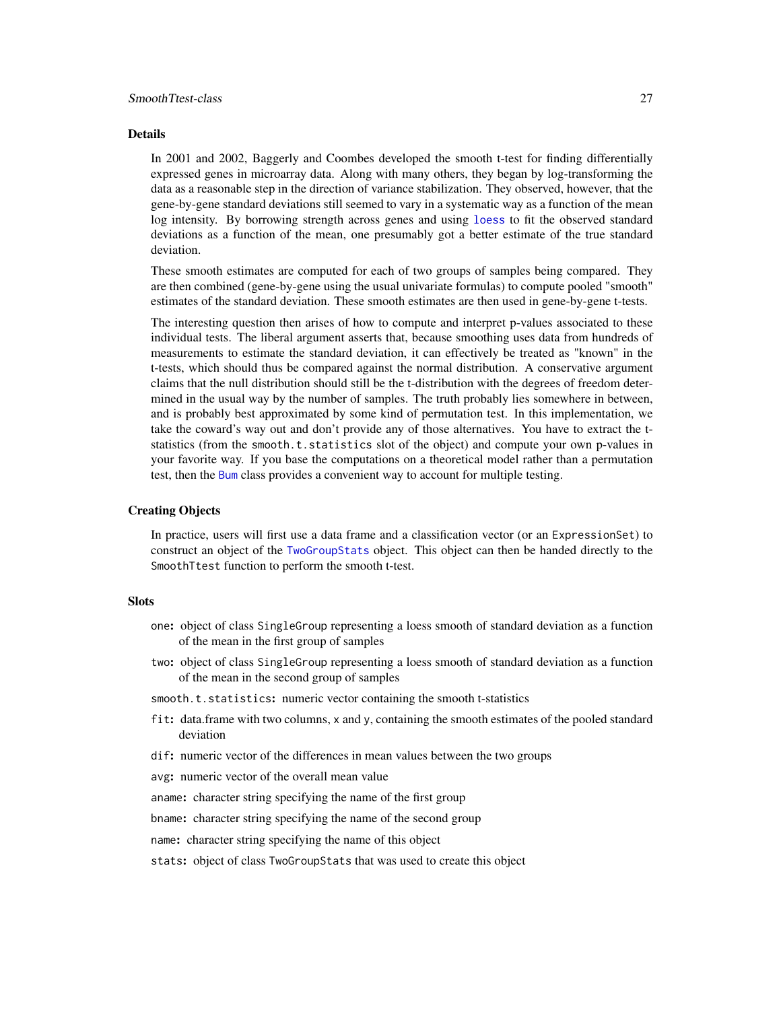#### <span id="page-26-0"></span>Details

In 2001 and 2002, Baggerly and Coombes developed the smooth t-test for finding differentially expressed genes in microarray data. Along with many others, they began by log-transforming the data as a reasonable step in the direction of variance stabilization. They observed, however, that the gene-by-gene standard deviations still seemed to vary in a systematic way as a function of the mean log intensity. By borrowing strength across genes and using [loess](#page-0-0) to fit the observed standard deviations as a function of the mean, one presumably got a better estimate of the true standard deviation.

These smooth estimates are computed for each of two groups of samples being compared. They are then combined (gene-by-gene using the usual univariate formulas) to compute pooled "smooth" estimates of the standard deviation. These smooth estimates are then used in gene-by-gene t-tests.

The interesting question then arises of how to compute and interpret p-values associated to these individual tests. The liberal argument asserts that, because smoothing uses data from hundreds of measurements to estimate the standard deviation, it can effectively be treated as "known" in the t-tests, which should thus be compared against the normal distribution. A conservative argument claims that the null distribution should still be the t-distribution with the degrees of freedom determined in the usual way by the number of samples. The truth probably lies somewhere in between, and is probably best approximated by some kind of permutation test. In this implementation, we take the coward's way out and don't provide any of those alternatives. You have to extract the tstatistics (from the smooth.t.statistics slot of the object) and compute your own p-values in your favorite way. If you base the computations on a theoretical model rather than a permutation test, then the [Bum](#page-1-1) class provides a convenient way to account for multiple testing.

# Creating Objects

In practice, users will first use a data frame and a classification vector (or an ExpressionSet) to construct an object of the [TwoGroupStats](#page-31-1) object. This object can then be handed directly to the SmoothTtest function to perform the smooth t-test.

#### **Slots**

- one: object of class SingleGroup representing a loess smooth of standard deviation as a function of the mean in the first group of samples
- two: object of class SingleGroup representing a loess smooth of standard deviation as a function of the mean in the second group of samples
- smooth.t.statistics: numeric vector containing the smooth t-statistics
- fit: data.frame with two columns, x and y, containing the smooth estimates of the pooled standard deviation
- dif: numeric vector of the differences in mean values between the two groups
- avg: numeric vector of the overall mean value
- aname: character string specifying the name of the first group
- bname: character string specifying the name of the second group
- name: character string specifying the name of this object
- stats: object of class TwoGroupStats that was used to create this object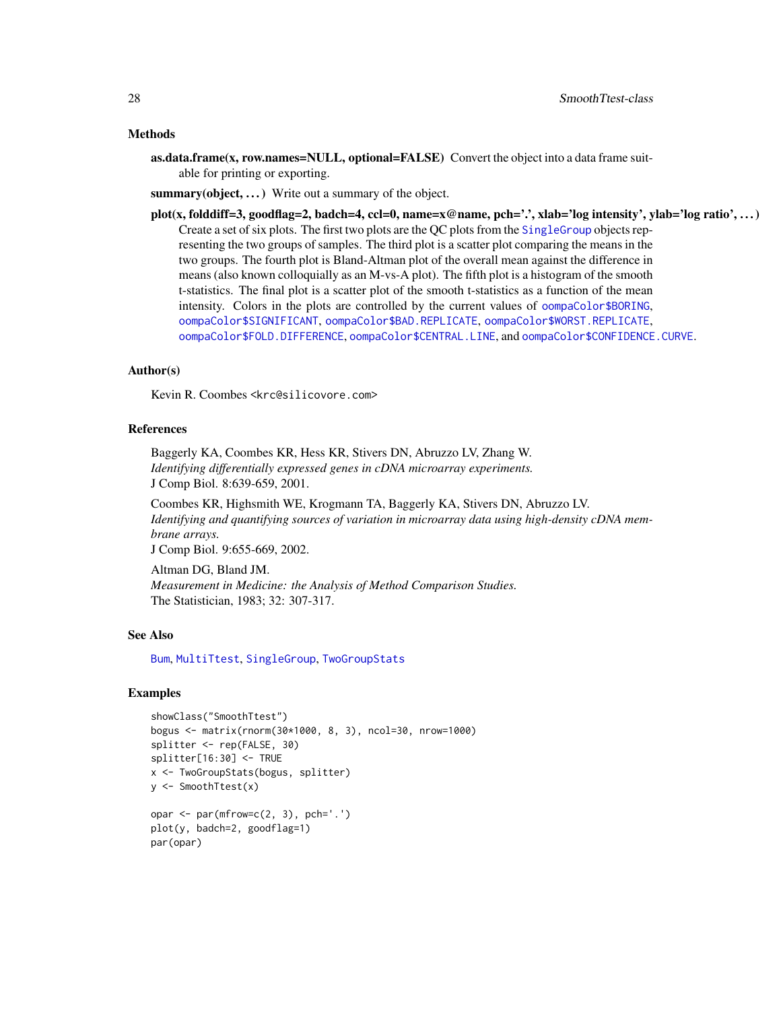## <span id="page-27-0"></span>Methods

as.data.frame(x, row.names=NULL, optional=FALSE) Convert the object into a data frame suitable for printing or exporting.

summary(object, ...) Write out a summary of the object.

plot(x, folddiff=3, goodflag=2, badch=4, ccl=0, name=x@name, pch='.', xlab='log intensity', ylab='log ratio', ...) Create a set of six plots. The first two plots are the QC plots from the [SingleGroup](#page-22-1) objects representing the two groups of samples. The third plot is a scatter plot comparing the means in the two groups. The fourth plot is Bland-Altman plot of the overall mean against the difference in means (also known colloquially as an M-vs-A plot). The fifth plot is a histogram of the smooth t-statistics. The final plot is a scatter plot of the smooth t-statistics as a function of the mean intensity. Colors in the plots are controlled by the current values of [oompaColor\\$BORING](#page-0-0), [oompaColor\\$SIGNIFICANT](#page-0-0), [oompaColor\\$BAD.REPLICATE](#page-0-0), [oompaColor\\$WORST.REPLICATE](#page-0-0), [oompaColor\\$FOLD.DIFFERENCE](#page-0-0), [oompaColor\\$CENTRAL.LINE](#page-0-0), and [oompaColor\\$CONFIDENCE.CURVE](#page-0-0).

# Author(s)

Kevin R. Coombes <krc@silicovore.com>

# References

Baggerly KA, Coombes KR, Hess KR, Stivers DN, Abruzzo LV, Zhang W. *Identifying differentially expressed genes in cDNA microarray experiments.* J Comp Biol. 8:639-659, 2001.

Coombes KR, Highsmith WE, Krogmann TA, Baggerly KA, Stivers DN, Abruzzo LV. *Identifying and quantifying sources of variation in microarray data using high-density cDNA membrane arrays.*

J Comp Biol. 9:655-669, 2002.

Altman DG, Bland JM. *Measurement in Medicine: the Analysis of Method Comparison Studies.* The Statistician, 1983; 32: 307-317.

#### See Also

[Bum](#page-1-1), [MultiTtest](#page-12-1), [SingleGroup](#page-22-1), [TwoGroupStats](#page-31-1)

# Examples

```
showClass("SmoothTtest")
bogus <- matrix(rnorm(30*1000, 8, 3), ncol=30, nrow=1000)
splitter <- rep(FALSE, 30)
splitter[16:30] <- TRUE
x <- TwoGroupStats(bogus, splitter)
y <- SmoothTtest(x)
opar \leq par(mfrow=c(2, 3), pch='.')
plot(y, badch=2, goodflag=1)
par(opar)
```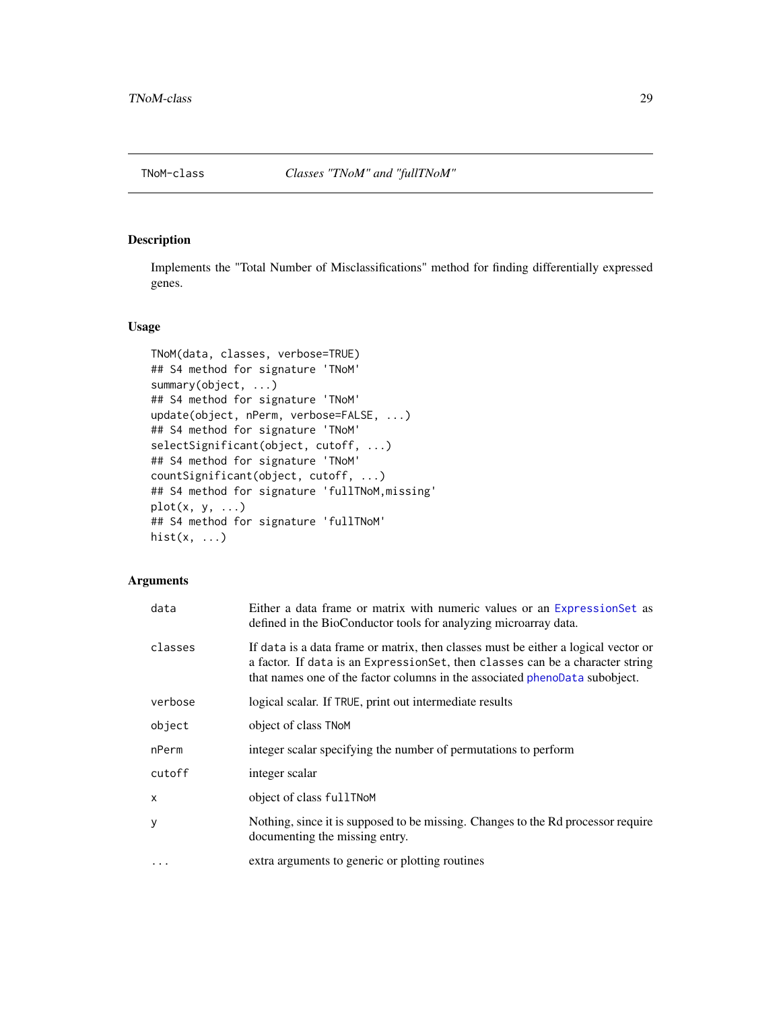<span id="page-28-0"></span>

# <span id="page-28-1"></span>Description

Implements the "Total Number of Misclassifications" method for finding differentially expressed genes.

# Usage

```
TNoM(data, classes, verbose=TRUE)
## S4 method for signature 'TNoM'
summary(object, ...)
## S4 method for signature 'TNoM'
update(object, nPerm, verbose=FALSE, ...)
## S4 method for signature 'TNoM'
selectSignificant(object, cutoff, ...)
## S4 method for signature 'TNoM'
countSignificant(object, cutoff, ...)
## S4 method for signature 'fullTNoM,missing'
plot(x, y, ...)## S4 method for signature 'fullTNoM'
hist(x, \ldots)
```

| data     | Either a data frame or matrix with numeric values or an ExpressionSet as<br>defined in the BioConductor tools for analyzing microarray data.                                                                                                        |
|----------|-----------------------------------------------------------------------------------------------------------------------------------------------------------------------------------------------------------------------------------------------------|
| classes  | If data is a data frame or matrix, then classes must be either a logical vector or<br>a factor. If data is an Expression Set, then classes can be a character string<br>that names one of the factor columns in the associated phenoData subobject. |
| verbose  | logical scalar. If TRUE, print out intermediate results                                                                                                                                                                                             |
| object   | object of class TNoM                                                                                                                                                                                                                                |
| nPerm    | integer scalar specifying the number of permutations to perform                                                                                                                                                                                     |
| cutoff   | integer scalar                                                                                                                                                                                                                                      |
| x        | object of class fullTNoM                                                                                                                                                                                                                            |
| у        | Nothing, since it is supposed to be missing. Changes to the Rd processor require<br>documenting the missing entry.                                                                                                                                  |
| $\ddots$ | extra arguments to generic or plotting routines                                                                                                                                                                                                     |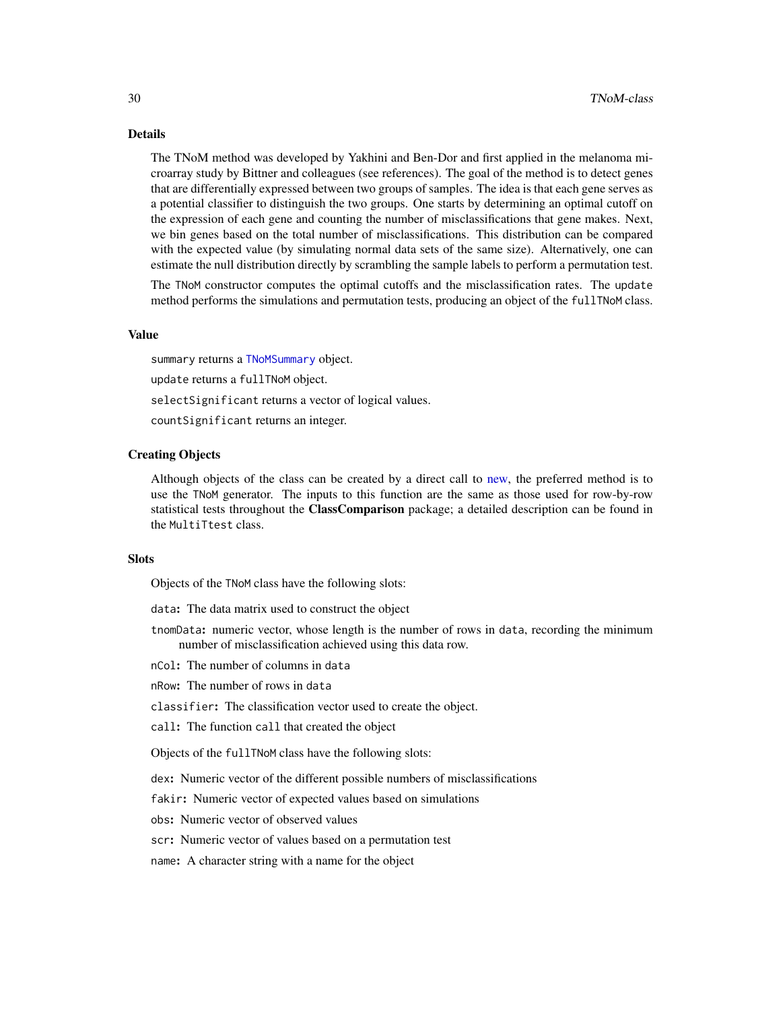#### <span id="page-29-0"></span>Details

The TNoM method was developed by Yakhini and Ben-Dor and first applied in the melanoma microarray study by Bittner and colleagues (see references). The goal of the method is to detect genes that are differentially expressed between two groups of samples. The idea is that each gene serves as a potential classifier to distinguish the two groups. One starts by determining an optimal cutoff on the expression of each gene and counting the number of misclassifications that gene makes. Next, we bin genes based on the total number of misclassifications. This distribution can be compared with the expected value (by simulating normal data sets of the same size). Alternatively, one can estimate the null distribution directly by scrambling the sample labels to perform a permutation test.

The TNoM constructor computes the optimal cutoffs and the misclassification rates. The update method performs the simulations and permutation tests, producing an object of the fullTNoM class.

# Value

summary returns a [TNoMSummary](#page-31-2) object. update returns a fullTNoM object. selectSignificant returns a vector of logical values. countSignificant returns an integer.

# Creating Objects

Although objects of the class can be created by a direct call to [new,](#page-0-0) the preferred method is to use the TNoM generator. The inputs to this function are the same as those used for row-by-row statistical tests throughout the **ClassComparison** package; a detailed description can be found in the MultiTtest class.

#### **Slots**

Objects of the TNoM class have the following slots:

data: The data matrix used to construct the object

tnomData: numeric vector, whose length is the number of rows in data, recording the minimum number of misclassification achieved using this data row.

nCol: The number of columns in data

nRow: The number of rows in data

classifier: The classification vector used to create the object.

call: The function call that created the object

Objects of the fullTNoM class have the following slots:

dex: Numeric vector of the different possible numbers of misclassifications

fakir: Numeric vector of expected values based on simulations

obs: Numeric vector of observed values

scr: Numeric vector of values based on a permutation test

name: A character string with a name for the object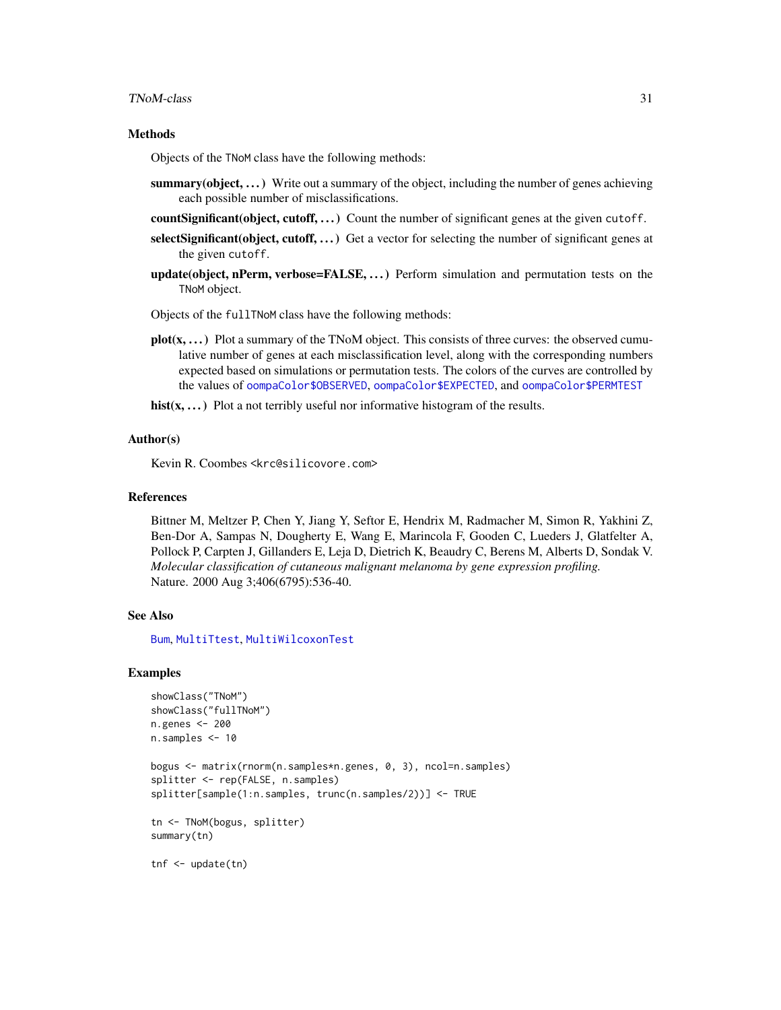#### <span id="page-30-0"></span>TNoM-class 31

#### Methods

Objects of the TNoM class have the following methods:

- summary(object, ...) Write out a summary of the object, including the number of genes achieving each possible number of misclassifications.
- count Significant (object, cutoff,  $\dots$ ) Count the number of significant genes at the given cutoff.
- selectSignificant(object, cutoff, ...) Get a vector for selecting the number of significant genes at the given cutoff.
- update(object, nPerm, verbose=FALSE, ...) Perform simulation and permutation tests on the TNoM object.

Objects of the fullTNoM class have the following methods:

- $plot(x, \ldots)$  Plot a summary of the TNoM object. This consists of three curves: the observed cumulative number of genes at each misclassification level, along with the corresponding numbers expected based on simulations or permutation tests. The colors of the curves are controlled by the values of [oompaColor\\$OBSERVED](#page-0-0), [oompaColor\\$EXPECTED](#page-0-0), and [oompaColor\\$PERMTEST](#page-0-0)
- hist $(x, \ldots)$  Plot a not terribly useful nor informative histogram of the results.

#### Author(s)

Kevin R. Coombes <krc@silicovore.com>

#### References

Bittner M, Meltzer P, Chen Y, Jiang Y, Seftor E, Hendrix M, Radmacher M, Simon R, Yakhini Z, Ben-Dor A, Sampas N, Dougherty E, Wang E, Marincola F, Gooden C, Lueders J, Glatfelter A, Pollock P, Carpten J, Gillanders E, Leja D, Dietrich K, Beaudry C, Berens M, Alberts D, Sondak V. *Molecular classification of cutaneous malignant melanoma by gene expression profiling.* Nature. 2000 Aug 3;406(6795):536-40.

## See Also

[Bum](#page-1-1), [MultiTtest](#page-12-1), [MultiWilcoxonTest](#page-14-1)

# Examples

```
showClass("TNoM")
showClass("fullTNoM")
n.genes <- 200
n.samples <- 10
bogus <- matrix(rnorm(n.samples*n.genes, 0, 3), ncol=n.samples)
splitter <- rep(FALSE, n.samples)
splitter[sample(1:n.samples, trunc(n.samples/2))] <- TRUE
tn <- TNoM(bogus, splitter)
summary(tn)
tnf <- update(tn)
```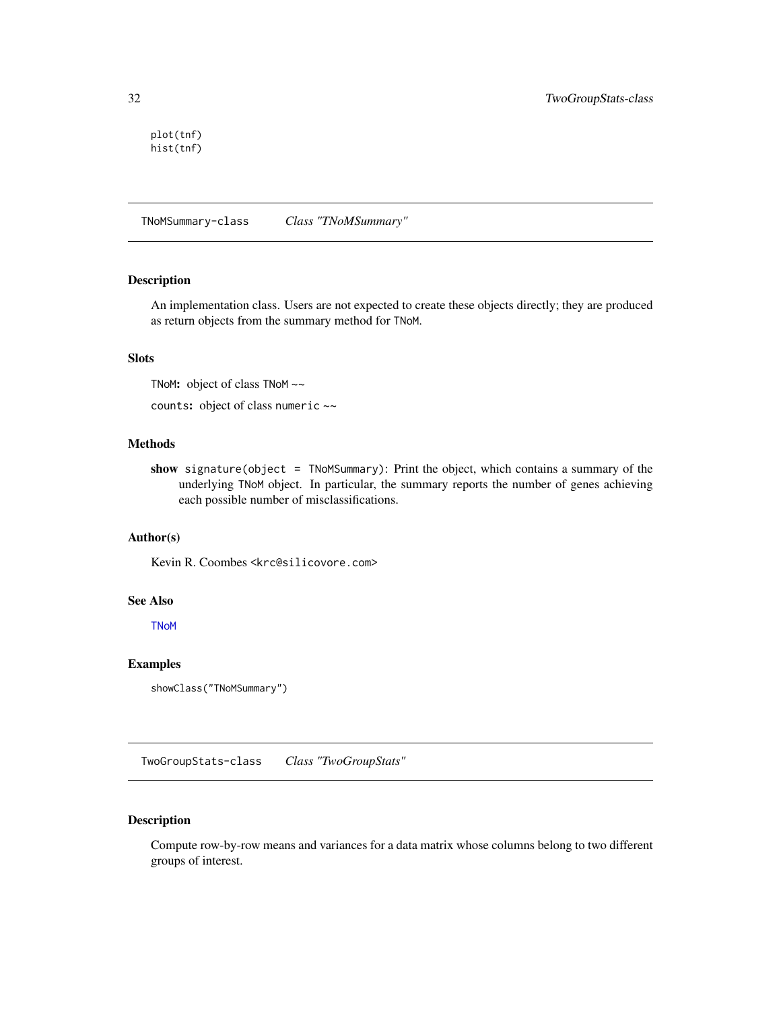<span id="page-31-0"></span>plot(tnf) hist(tnf)

TNoMSummary-class *Class "TNoMSummary"*

# <span id="page-31-2"></span>Description

An implementation class. Users are not expected to create these objects directly; they are produced as return objects from the summary method for TNoM.

# Slots

TNoM: object of class TNoM ~~

counts: object of class numeric ~~

# Methods

show signature(object = TNoMSummary): Print the object, which contains a summary of the underlying TNoM object. In particular, the summary reports the number of genes achieving each possible number of misclassifications.

# Author(s)

Kevin R. Coombes <krc@silicovore.com>

# See Also

**[TNoM](#page-28-1)** 

# Examples

```
showClass("TNoMSummary")
```
TwoGroupStats-class *Class "TwoGroupStats"*

# <span id="page-31-1"></span>Description

Compute row-by-row means and variances for a data matrix whose columns belong to two different groups of interest.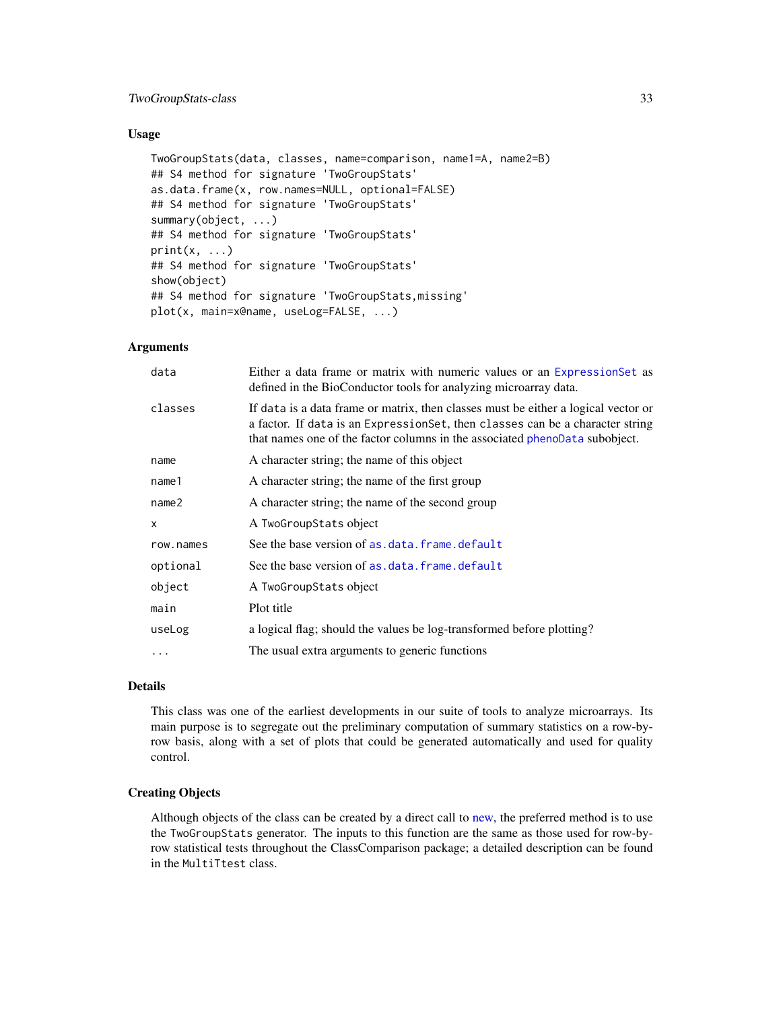# <span id="page-32-0"></span>TwoGroupStats-class 33

# Usage

```
TwoGroupStats(data, classes, name=comparison, name1=A, name2=B)
## S4 method for signature 'TwoGroupStats'
as.data.frame(x, row.names=NULL, optional=FALSE)
## S4 method for signature 'TwoGroupStats'
summary(object, ...)
## S4 method for signature 'TwoGroupStats'
print(x, \ldots)## S4 method for signature 'TwoGroupStats'
show(object)
## S4 method for signature 'TwoGroupStats,missing'
plot(x, main=x@name, useLog=FALSE, ...)
```
# **Arguments**

| data              | Either a data frame or matrix with numeric values or an Expression Set as<br>defined in the BioConductor tools for analyzing microarray data.                                                                                                       |
|-------------------|-----------------------------------------------------------------------------------------------------------------------------------------------------------------------------------------------------------------------------------------------------|
| classes           | If data is a data frame or matrix, then classes must be either a logical vector or<br>a factor. If data is an Expression Set, then classes can be a character string<br>that names one of the factor columns in the associated phenoData subobject. |
| name              | A character string; the name of this object                                                                                                                                                                                                         |
| name1             | A character string; the name of the first group                                                                                                                                                                                                     |
| name <sub>2</sub> | A character string; the name of the second group                                                                                                                                                                                                    |
| x                 | A TwoGroupStats object                                                                                                                                                                                                                              |
| row.names         | See the base version of as, data, frame, default                                                                                                                                                                                                    |
| optional          | See the base version of as, data, frame, default                                                                                                                                                                                                    |
| object            | A TwoGroupStats object                                                                                                                                                                                                                              |
| main              | Plot title                                                                                                                                                                                                                                          |
| useLog            | a logical flag; should the values be log-transformed before plotting?                                                                                                                                                                               |
|                   | The usual extra arguments to generic functions                                                                                                                                                                                                      |
|                   |                                                                                                                                                                                                                                                     |

# Details

This class was one of the earliest developments in our suite of tools to analyze microarrays. Its main purpose is to segregate out the preliminary computation of summary statistics on a row-byrow basis, along with a set of plots that could be generated automatically and used for quality control.

# Creating Objects

Although objects of the class can be created by a direct call to [new,](#page-0-0) the preferred method is to use the TwoGroupStats generator. The inputs to this function are the same as those used for row-byrow statistical tests throughout the ClassComparison package; a detailed description can be found in the MultiTtest class.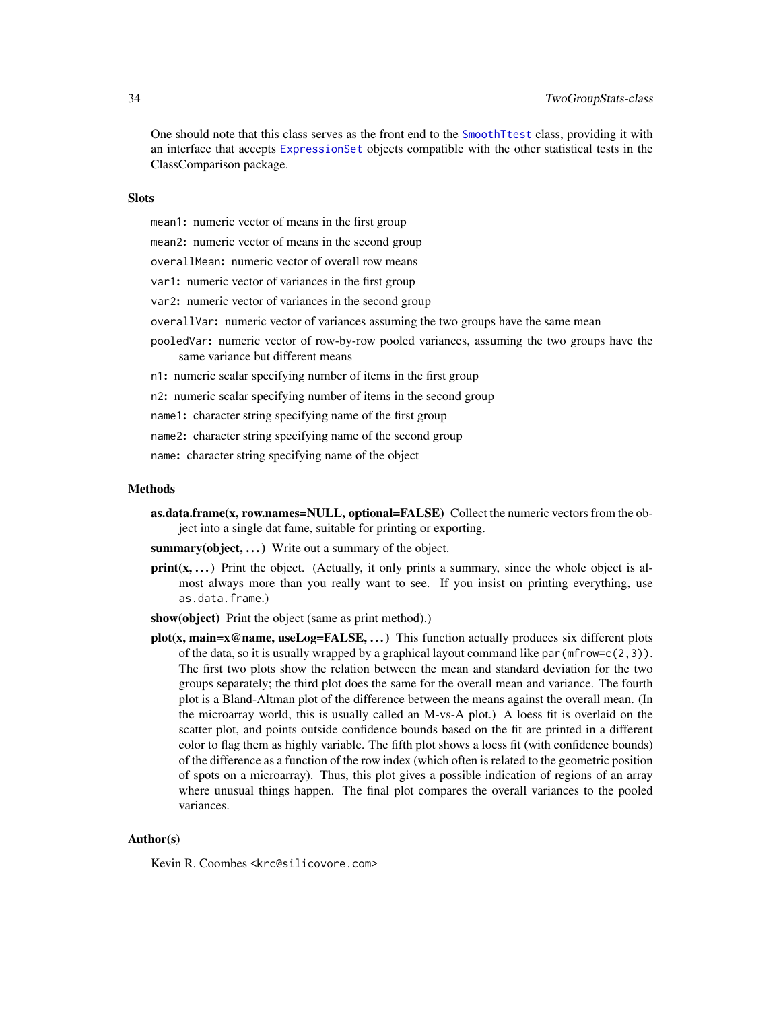# <span id="page-33-0"></span>34 TwoGroupStats-class

One should note that this class serves as the front end to the [SmoothTtest](#page-25-1) class, providing it with an interface that accepts [ExpressionSet](#page-0-0) objects compatible with the other statistical tests in the ClassComparison package.

# **Slots**

- mean1: numeric vector of means in the first group
- mean2: numeric vector of means in the second group
- overallMean: numeric vector of overall row means
- var1: numeric vector of variances in the first group
- var2: numeric vector of variances in the second group
- overallVar: numeric vector of variances assuming the two groups have the same mean
- pooledVar: numeric vector of row-by-row pooled variances, assuming the two groups have the same variance but different means
- n1: numeric scalar specifying number of items in the first group
- n2: numeric scalar specifying number of items in the second group

name1: character string specifying name of the first group

- name2: character string specifying name of the second group
- name: character string specifying name of the object

#### **Methods**

- as.data.frame(x, row.names=NULL, optional=FALSE) Collect the numeric vectors from the object into a single dat fame, suitable for printing or exporting.
- summary(object, ...) Write out a summary of the object.
- $print(x, ...)$  Print the object. (Actually, it only prints a summary, since the whole object is almost always more than you really want to see. If you insist on printing everything, use as.data.frame.)
- show(object) Print the object (same as print method).)
- plot(x, main=x@name, useLog=FALSE, ...) This function actually produces six different plots of the data, so it is usually wrapped by a graphical layout command like  $par(mfrow=c(2,3))$ . The first two plots show the relation between the mean and standard deviation for the two groups separately; the third plot does the same for the overall mean and variance. The fourth plot is a Bland-Altman plot of the difference between the means against the overall mean. (In the microarray world, this is usually called an M-vs-A plot.) A loess fit is overlaid on the scatter plot, and points outside confidence bounds based on the fit are printed in a different color to flag them as highly variable. The fifth plot shows a loess fit (with confidence bounds) of the difference as a function of the row index (which often is related to the geometric position of spots on a microarray). Thus, this plot gives a possible indication of regions of an array where unusual things happen. The final plot compares the overall variances to the pooled variances.

# Author(s)

Kevin R. Coombes <krc@silicovore.com>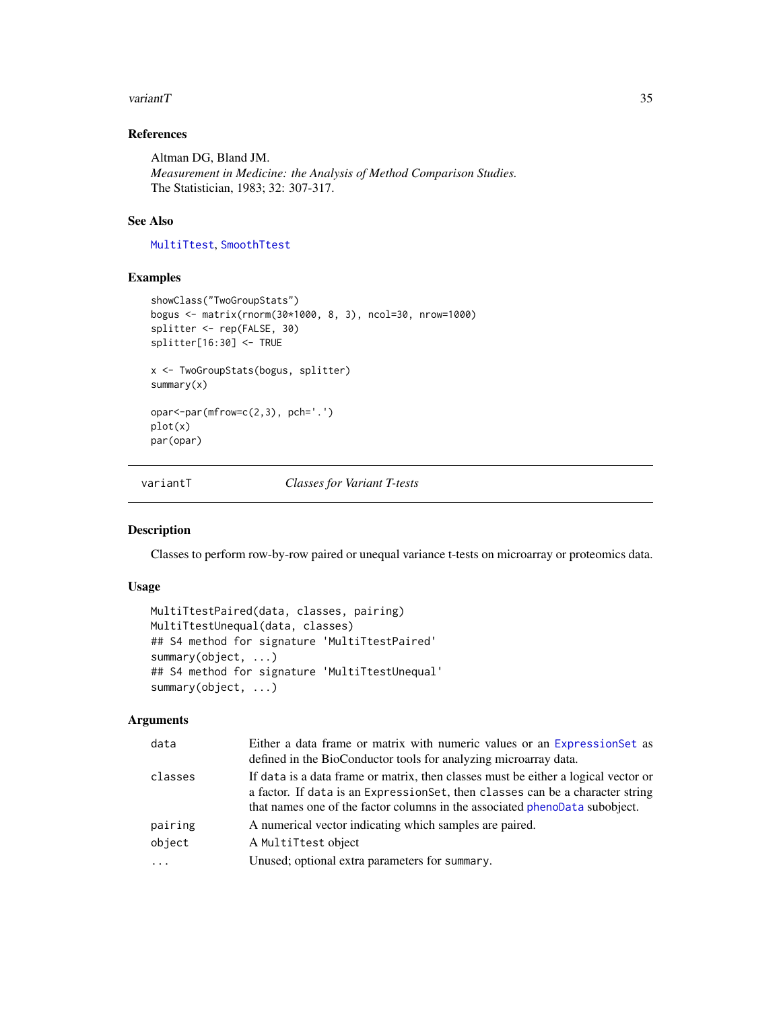#### <span id="page-34-0"></span>variant  $T$  35

# References

Altman DG, Bland JM. *Measurement in Medicine: the Analysis of Method Comparison Studies.* The Statistician, 1983; 32: 307-317.

# See Also

[MultiTtest](#page-12-1), [SmoothTtest](#page-25-1)

# Examples

```
showClass("TwoGroupStats")
bogus <- matrix(rnorm(30*1000, 8, 3), ncol=30, nrow=1000)
splitter <- rep(FALSE, 30)
splitter[16:30] <- TRUE
x <- TwoGroupStats(bogus, splitter)
summary(x)
opar<-par(mfrow=c(2,3), pch='.')
plot(x)
par(opar)
```
variantT *Classes for Variant T-tests*

# Description

Classes to perform row-by-row paired or unequal variance t-tests on microarray or proteomics data.

# Usage

```
MultiTtestPaired(data, classes, pairing)
MultiTtestUnequal(data, classes)
## S4 method for signature 'MultiTtestPaired'
summary(object, ...)
## S4 method for signature 'MultiTtestUnequal'
summary(object, ...)
```

| data     | Either a data frame or matrix with numeric values or an Expression Set as<br>defined in the BioConductor tools for analyzing microarray data.                                                                                                       |
|----------|-----------------------------------------------------------------------------------------------------------------------------------------------------------------------------------------------------------------------------------------------------|
| classes  | If data is a data frame or matrix, then classes must be either a logical vector or<br>a factor. If data is an Expression Set, then classes can be a character string<br>that names one of the factor columns in the associated phenoData subobject. |
| pairing  | A numerical vector indicating which samples are paired.                                                                                                                                                                                             |
| object   | A MultiTtest object                                                                                                                                                                                                                                 |
| $\cdots$ | Unused; optional extra parameters for summary.                                                                                                                                                                                                      |
|          |                                                                                                                                                                                                                                                     |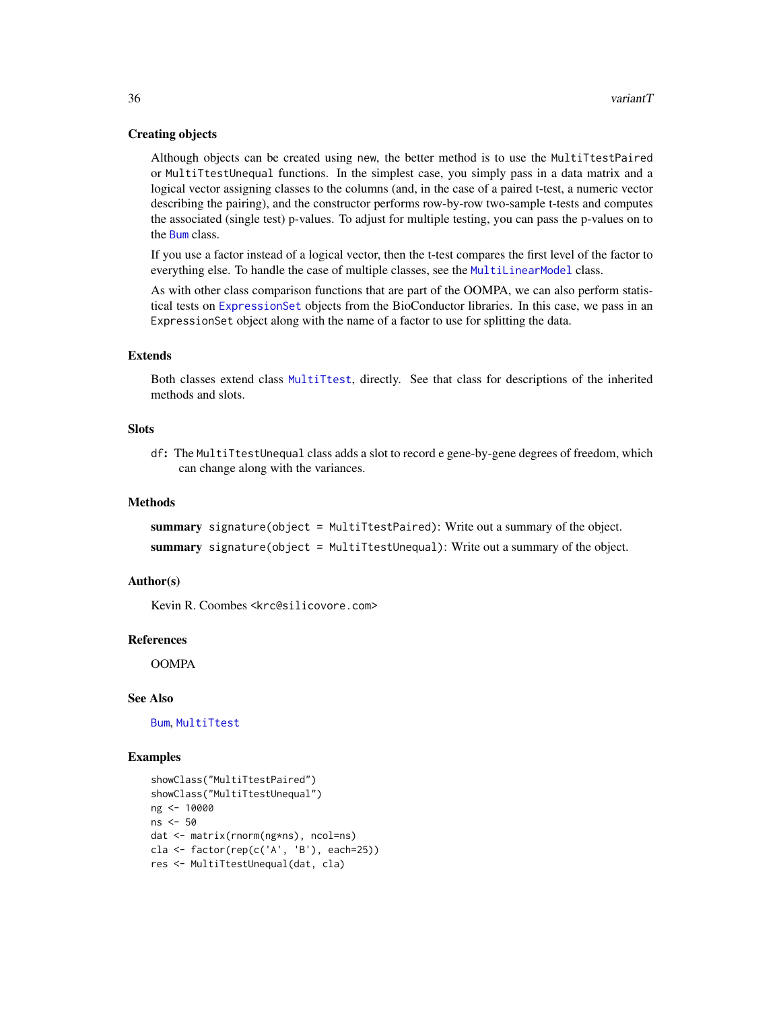# Creating objects

Although objects can be created using new, the better method is to use the MultiTtestPaired or MultiTtestUnequal functions. In the simplest case, you simply pass in a data matrix and a logical vector assigning classes to the columns (and, in the case of a paired t-test, a numeric vector describing the pairing), and the constructor performs row-by-row two-sample t-tests and computes the associated (single test) p-values. To adjust for multiple testing, you can pass the p-values on to the [Bum](#page-1-1) class.

If you use a factor instead of a logical vector, then the t-test compares the first level of the factor to everything else. To handle the case of multiple classes, see the [MultiLinearModel](#page-9-1) class.

As with other class comparison functions that are part of the OOMPA, we can also perform statistical tests on [ExpressionSet](#page-0-0) objects from the BioConductor libraries. In this case, we pass in an ExpressionSet object along with the name of a factor to use for splitting the data.

# Extends

Both classes extend class [MultiTtest](#page-12-1), directly. See that class for descriptions of the inherited methods and slots.

# **Slots**

df: The MultiTtestUnequal class adds a slot to record e gene-by-gene degrees of freedom, which can change along with the variances.

#### Methods

summary signature(object = MultiTtestPaired): Write out a summary of the object. summary signature(object = MultiTtestUnequal): Write out a summary of the object.

#### Author(s)

Kevin R. Coombes <krc@silicovore.com>

# References

**OOMPA** 

# See Also

[Bum](#page-1-1), [MultiTtest](#page-12-1)

## Examples

```
showClass("MultiTtestPaired")
showClass("MultiTtestUnequal")
ng <- 10000
ns <- 50
dat <- matrix(rnorm(ng*ns), ncol=ns)
cla <- factor(rep(c('A', 'B'), each=25))
res <- MultiTtestUnequal(dat, cla)
```
<span id="page-35-0"></span>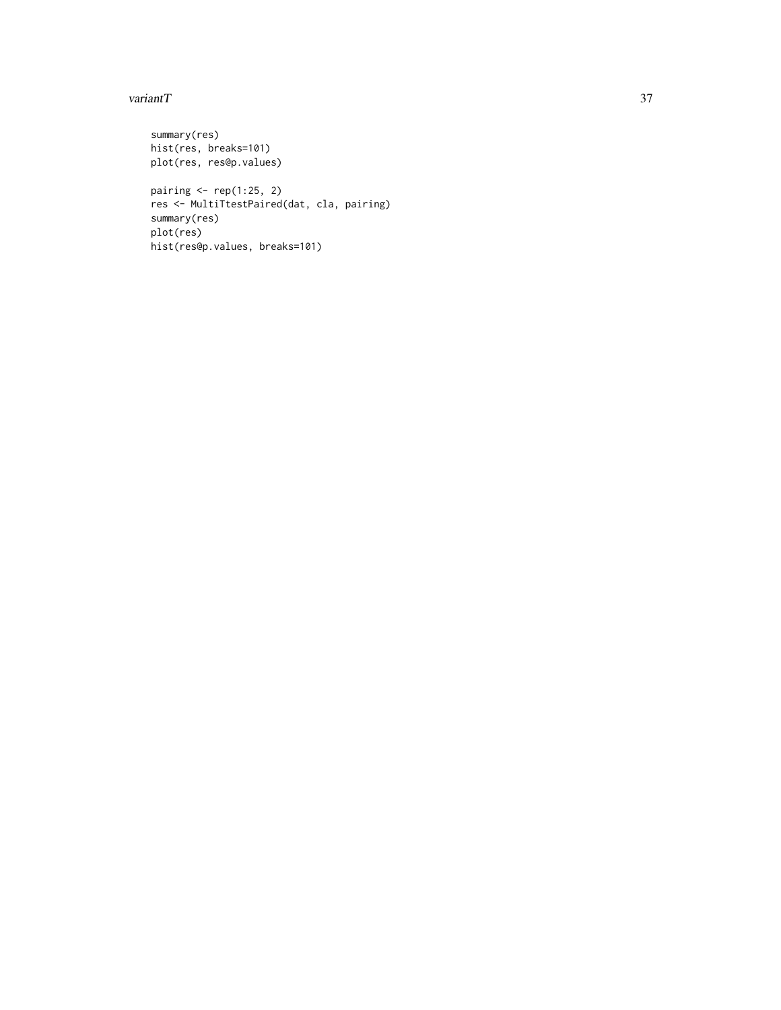#### variant $T$  37

```
summary(res)
hist(res, breaks=101)
plot(res, res@p.values)
pairing \leftarrow \text{rep}(1:25, 2)res <- MultiTtestPaired(dat, cla, pairing)
summary(res)
plot(res)
hist(res@p.values, breaks=101)
```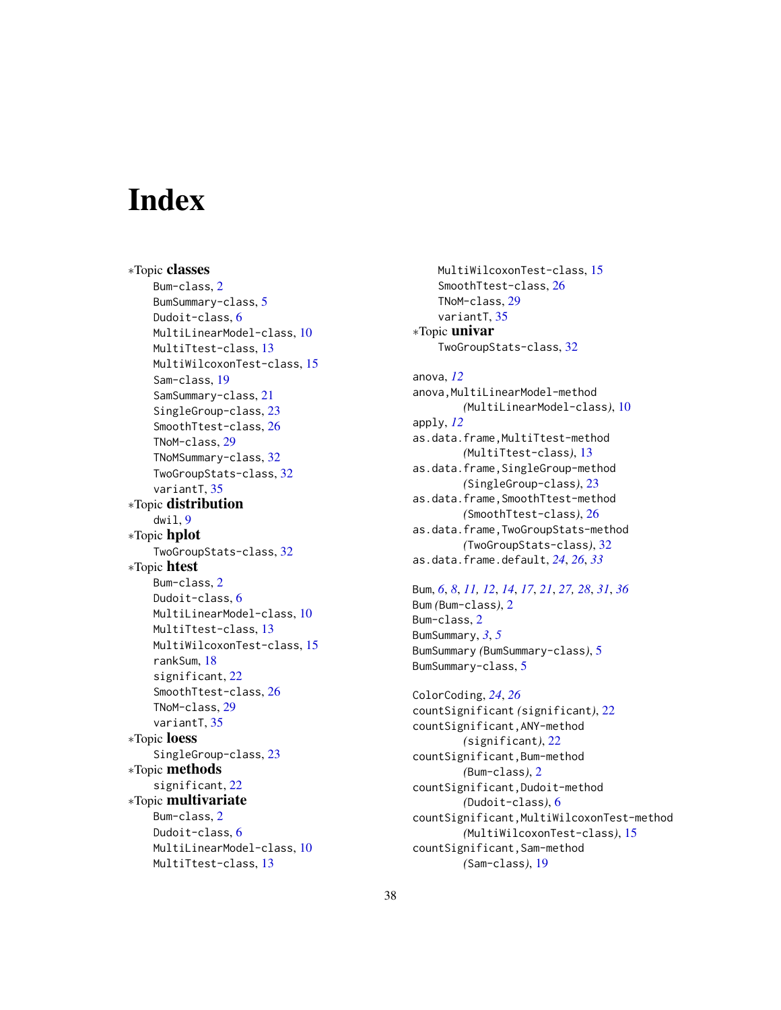# <span id="page-37-0"></span>**Index**

∗Topic classes Bum-class, [2](#page-1-0) BumSummary-class, [5](#page-4-0) Dudoit-class, [6](#page-5-0) MultiLinearModel-class, [10](#page-9-0) MultiTtest-class, [13](#page-12-0) MultiWilcoxonTest-class, [15](#page-14-0) Sam-class, [19](#page-18-0) SamSummary-class, [21](#page-20-0) SingleGroup-class, [23](#page-22-0) SmoothTtest-class, [26](#page-25-0) TNoM-class, [29](#page-28-0) TNoMSummary-class, [32](#page-31-0) TwoGroupStats-class, [32](#page-31-0) variantT, [35](#page-34-0) ∗Topic distribution dwil, [9](#page-8-0) ∗Topic hplot TwoGroupStats-class, [32](#page-31-0) ∗Topic htest Bum-class, [2](#page-1-0) Dudoit-class, [6](#page-5-0) MultiLinearModel-class, [10](#page-9-0) MultiTtest-class, [13](#page-12-0) MultiWilcoxonTest-class, [15](#page-14-0) rankSum, [18](#page-17-0) significant, [22](#page-21-0) SmoothTtest-class, [26](#page-25-0) TNoM-class, [29](#page-28-0) variantT, [35](#page-34-0) ∗Topic loess SingleGroup-class, [23](#page-22-0) ∗Topic methods significant, [22](#page-21-0) ∗Topic multivariate Bum-class, [2](#page-1-0) Dudoit-class, [6](#page-5-0) MultiLinearModel-class, [10](#page-9-0) MultiTtest-class, [13](#page-12-0)

MultiWilcoxonTest-class, [15](#page-14-0) SmoothTtest-class, [26](#page-25-0) TNoM-class, [29](#page-28-0) variantT, [35](#page-34-0) ∗Topic univar TwoGroupStats-class, [32](#page-31-0)

anova, *[12](#page-11-0)* anova, MultiLinearModel-method *(*MultiLinearModel-class*)*, [10](#page-9-0) apply, *[12](#page-11-0)* as.data.frame,MultiTtest-method *(*MultiTtest-class*)*, [13](#page-12-0) as.data.frame,SingleGroup-method *(*SingleGroup-class*)*, [23](#page-22-0) as.data.frame,SmoothTtest-method *(*SmoothTtest-class*)*, [26](#page-25-0) as.data.frame,TwoGroupStats-method *(*TwoGroupStats-class*)*, [32](#page-31-0) as.data.frame.default, *[24](#page-23-0)*, *[26](#page-25-0)*, *[33](#page-32-0)*

Bum, *[6](#page-5-0)*, *[8](#page-7-0)*, *[11,](#page-10-0) [12](#page-11-0)*, *[14](#page-13-0)*, *[17](#page-16-0)*, *[21](#page-20-0)*, *[27,](#page-26-0) [28](#page-27-0)*, *[31](#page-30-0)*, *[36](#page-35-0)* Bum *(*Bum-class*)*, [2](#page-1-0) Bum-class, [2](#page-1-0) BumSummary, *[3](#page-2-0)*, *[5](#page-4-0)* BumSummary *(*BumSummary-class*)*, [5](#page-4-0) BumSummary-class, [5](#page-4-0)

ColorCoding, *[24](#page-23-0)*, *[26](#page-25-0)* countSignificant *(*significant*)*, [22](#page-21-0) countSignificant,ANY-method *(*significant*)*, [22](#page-21-0) countSignificant,Bum-method *(*Bum-class*)*, [2](#page-1-0) countSignificant,Dudoit-method *(*Dudoit-class*)*, [6](#page-5-0) countSignificant,MultiWilcoxonTest-method *(*MultiWilcoxonTest-class*)*, [15](#page-14-0) countSignificant,Sam-method *(*Sam-class*)*, [19](#page-18-0)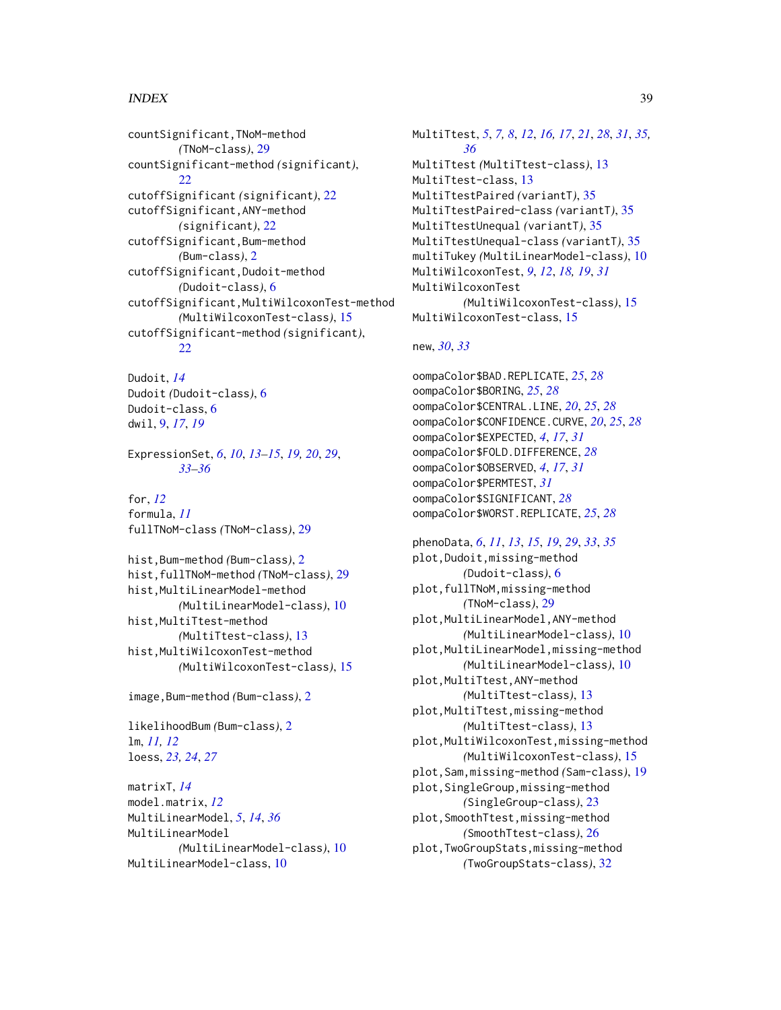# INDEX  $39$

countSignificant,TNoM-method *(*TNoM-class*)*, [29](#page-28-0) countSignificant-method *(*significant*)*,  $22$ cutoffSignificant *(*significant*)*, [22](#page-21-0) cutoffSignificant,ANY-method *(*significant*)*, [22](#page-21-0) cutoffSignificant,Bum-method *(*Bum-class*)*, [2](#page-1-0) cutoffSignificant,Dudoit-method *(*Dudoit-class*)*, [6](#page-5-0) cutoffSignificant,MultiWilcoxonTest-method *(*MultiWilcoxonTest-class*)*, [15](#page-14-0) cutoffSignificant-method *(*significant*)*, [22](#page-21-0)

Dudoit, *[14](#page-13-0)* Dudoit *(*Dudoit-class*)*, [6](#page-5-0) Dudoit-class, [6](#page-5-0) dwil, [9,](#page-8-0) *[17](#page-16-0)*, *[19](#page-18-0)*

ExpressionSet, *[6](#page-5-0)*, *[10](#page-9-0)*, *[13–](#page-12-0)[15](#page-14-0)*, *[19,](#page-18-0) [20](#page-19-0)*, *[29](#page-28-0)*, *[33](#page-32-0)[–36](#page-35-0)*

for, *[12](#page-11-0)* formula, *[11](#page-10-0)* fullTNoM-class *(*TNoM-class*)*, [29](#page-28-0)

hist,Bum-method *(*Bum-class*)*, [2](#page-1-0) hist,fullTNoM-method *(*TNoM-class*)*, [29](#page-28-0) hist,MultiLinearModel-method *(*MultiLinearModel-class*)*, [10](#page-9-0) hist,MultiTtest-method *(*MultiTtest-class*)*, [13](#page-12-0) hist,MultiWilcoxonTest-method *(*MultiWilcoxonTest-class*)*, [15](#page-14-0)

image,Bum-method *(*Bum-class*)*, [2](#page-1-0)

likelihoodBum *(*Bum-class*)*, [2](#page-1-0) lm, *[11,](#page-10-0) [12](#page-11-0)* loess, *[23,](#page-22-0) [24](#page-23-0)*, *[27](#page-26-0)*

matrixT, *[14](#page-13-0)* model.matrix, *[12](#page-11-0)* MultiLinearModel, *[5](#page-4-0)*, *[14](#page-13-0)*, *[36](#page-35-0)* MultiLinearModel *(*MultiLinearModel-class*)*, [10](#page-9-0) MultiLinearModel-class, [10](#page-9-0)

MultiTtest, *[5](#page-4-0)*, *[7,](#page-6-0) [8](#page-7-0)*, *[12](#page-11-0)*, *[16,](#page-15-0) [17](#page-16-0)*, *[21](#page-20-0)*, *[28](#page-27-0)*, *[31](#page-30-0)*, *[35,](#page-34-0) [36](#page-35-0)* MultiTtest *(*MultiTtest-class*)*, [13](#page-12-0) MultiTtest-class, [13](#page-12-0) MultiTtestPaired *(*variantT*)*, [35](#page-34-0) MultiTtestPaired-class *(*variantT*)*, [35](#page-34-0) MultiTtestUnequal *(*variantT*)*, [35](#page-34-0) MultiTtestUnequal-class *(*variantT*)*, [35](#page-34-0) multiTukey *(*MultiLinearModel-class*)*, [10](#page-9-0) MultiWilcoxonTest, *[9](#page-8-0)*, *[12](#page-11-0)*, *[18,](#page-17-0) [19](#page-18-0)*, *[31](#page-30-0)* MultiWilcoxonTest *(*MultiWilcoxonTest-class*)*, [15](#page-14-0) MultiWilcoxonTest-class, [15](#page-14-0)

# new, *[30](#page-29-0)*, *[33](#page-32-0)*

oompaColor\$BAD.REPLICATE, *[25](#page-24-0)*, *[28](#page-27-0)* oompaColor\$BORING, *[25](#page-24-0)*, *[28](#page-27-0)* oompaColor\$CENTRAL.LINE, *[20](#page-19-0)*, *[25](#page-24-0)*, *[28](#page-27-0)* oompaColor\$CONFIDENCE.CURVE, *[20](#page-19-0)*, *[25](#page-24-0)*, *[28](#page-27-0)* oompaColor\$EXPECTED, *[4](#page-3-0)*, *[17](#page-16-0)*, *[31](#page-30-0)* oompaColor\$FOLD.DIFFERENCE, *[28](#page-27-0)* oompaColor\$OBSERVED, *[4](#page-3-0)*, *[17](#page-16-0)*, *[31](#page-30-0)* oompaColor\$PERMTEST, *[31](#page-30-0)* oompaColor\$SIGNIFICANT, *[28](#page-27-0)* oompaColor\$WORST.REPLICATE, *[25](#page-24-0)*, *[28](#page-27-0)*

phenoData, *[6](#page-5-0)*, *[11](#page-10-0)*, *[13](#page-12-0)*, *[15](#page-14-0)*, *[19](#page-18-0)*, *[29](#page-28-0)*, *[33](#page-32-0)*, *[35](#page-34-0)* plot,Dudoit,missing-method *(*Dudoit-class*)*, [6](#page-5-0) plot,fullTNoM,missing-method *(*TNoM-class*)*, [29](#page-28-0) plot,MultiLinearModel,ANY-method *(*MultiLinearModel-class*)*, [10](#page-9-0) plot,MultiLinearModel,missing-method *(*MultiLinearModel-class*)*, [10](#page-9-0) plot,MultiTtest,ANY-method *(*MultiTtest-class*)*, [13](#page-12-0) plot,MultiTtest,missing-method *(*MultiTtest-class*)*, [13](#page-12-0) plot,MultiWilcoxonTest,missing-method *(*MultiWilcoxonTest-class*)*, [15](#page-14-0) plot,Sam,missing-method *(*Sam-class*)*, [19](#page-18-0) plot,SingleGroup,missing-method *(*SingleGroup-class*)*, [23](#page-22-0) plot,SmoothTtest,missing-method *(*SmoothTtest-class*)*, [26](#page-25-0) plot,TwoGroupStats,missing-method *(*TwoGroupStats-class*)*, [32](#page-31-0)